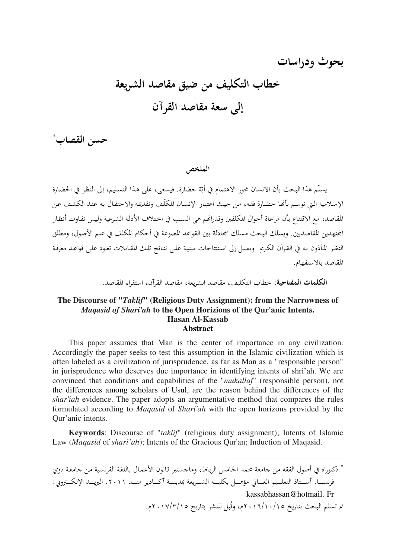# بحوث ودراسات خطاب التكليف من ضيق مقاصد الشريعة إلى سعة مقاصد القرآن

حسن القصاب

الملخص

يسلّم هذا البحث بأن الانسان محور الاهتمام في أيّة حضارة. فيسعى، على هذا التسليم، إلى النظر في الحضارة الإسلامية التي توسم بأنحا حضارة فقه، من حيث اعتبار الإنسان المكلَّف وتقديمه والاحتفال به عند الكشف عن المقاصد، مع الاقتناع بأن مراعاة أحوال المكلفين وقدراتهم هي السبب في اختلاف الأدلة الشرعية وليس تفاوت أنظار الجتهدين المقاصديين. ويسلك البحث مسلك الجادلة بين القواعد المصوغة في أحكام المكلف في علم الأصول، ومطلق النظر المأذون به في القرآن الكريم. ويصل إلى استنتاجات مبنية على نتائج تلك المقابلات تعود على قواعد معرفة المقاصد بالاستفهام.

**الكلمات المفتاحية**: خطاب التكليف، مقاصد الشريعة، مقاصد القرآن، استقراء المقاصد.

#### The Discourse of "Taklif" (Religious Duty Assignment): from the Narrowness of Magasid of Shari'ah to the Open Horizions of the Qur'anic Intents. **Hasan Al-Kassab Abstract**

This paper assumes that Man is the center of importance in any civilization. Accordingly the paper seeks to test this assumption in the Islamic civilization which is often labeled as a civilization of jurisprudence, as far as Man as a "responsible person" in jurisprudence who deserves due importance in identifying intents of shri'ah. We are convinced that conditions and capabilities of the "mukallaf" (responsible person), not the differences among scholars of Usul, are the reason behind the differences of the *shar'iah* evidence. The paper adopts an argumentative method that compares the rules formulated according to Maqasid of Shari'ah with the open horizons provided by the Our'anic intents.

**Keywords:** Discourse of "taklif" (religious duty assignment); Intents of Islamic Law (*Magasid* of *shari'ah*); Intents of the Gracious Qur'an; Induction of Magasid.

\* دكتوراه في أصول الفقه من جامعة محمد الخامس الرباط، وماجستير قانون الأعمال باللغة الفرنسية من جامعة دوي فرنســـا. أســتاذ التعلــيم العـــالي مؤهـــل بكليـــة الشـــريعة بمدينـــة أكـــادير منـــذ ٢٠١١. البريـــد الإلكـــتزوين: kassabhassan@hotmail. Fr تم تسلم البحث بتاريخ ١٠/١٠/١٠/١٥م، وقُبل للنشر بتاريخ ١٧/٣/١٥. ٢م.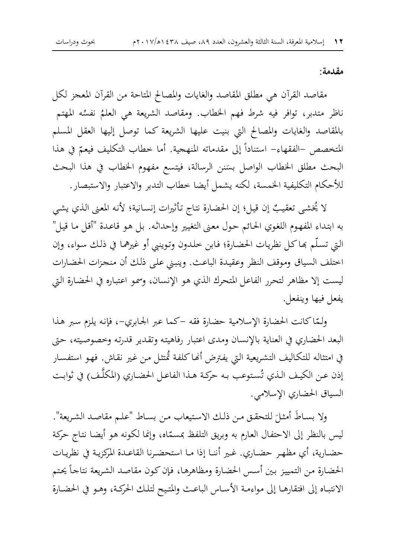#### مقدمة:

مقاصد القرآن هي مطلق المقاصد والغايات والمصالح المتاحة من القرآن المعجز لكل ناظر متدبر، توافر فيه شرط فهم الخطاب. ومقاصد الشريعة هي العلمُ نفسُه المهتم بالمقاصد والغايات والمصالح التي بنيت عليها الشريعة كما توصل إليها العقل المسلم المتخصص –الفقهاء– استناداً إلى مقدماته المنهجية. أما خطاب التكليف فيعمّ في هذا البحث مطلق الخطاب الواصل بسَنن الرسالة، فيتسع مفهوم الخطاب في هذا البحث للأحكام التكليفية الخمسة، لكنه يشمل أيضا خطاب التدبر والاعتبار والاستبصار.

لا يُخشى تعقيبٌ إن قيل؛ إن الحضارة نتاج تأثيرات إنسانية؛ لأنه المعنى الذي يشى به ابتداء المفهوم اللغوي الحائم حول معنى التغيير وإحداثه. بل هو قاعدة "أقل ما قيل" التي تسلَّم بِحاكلٍ نظريات الحضارة؛ فـابن خلدون وتوينيي أو غيرهما في ذلك سواء، وإن اختلف السياق وموقف النظر وعقيدة الباعث. وينبني على ذلك أن منحزات الحضارات ليست إلا مظاهر لتحرر الفاعل المتحرك الذي هو الإنسان، وسمو اعتباره في الحضارة التي يفعل فيها وينفعل.

ولَّمَّاكانت الحضارة الإسلامية حضارة فقه –كما عبر الجابري–، فإنه يلزم سبر هذا البعد الحضاري في العناية بالإنسان ومدى اعتبار رفاهيته وتقدير قدرته وخصوصيته، حتى في امتثاله للتكاليف التشريعية التي يفترض أنحاكلفة تُمتثل من غير نقاش. فهو استفسار إذن عن الكيف الذي تُستوعب به حركة هـذا الفاعـل الحضـاري (المكلَّـف) في ثوابت السياق الحضاري الإسلامي.

ولا بساطَ أمثلَ للتحقـق مـن ذلـك الاستيعاب مـن بسـاط "علـم مقاصـد الشـريعة". ليس بالنظر إلى الاحتفال العارم به وبريق التلفظ بمسمّاه، وإنما لكونه هو أيضا نتاج حركة حضارية، أي مظهـر حضـاري. غـير أننـا إذا مـا استحضـرنا القاعـدة المركزيـة في نظريـات الحضارة من التمييز بين أسس الحضارة ومظاهرها، فإن كون مقاصد الشريعة نتاجأ يحتم الانتبـاه إلى افتقارهـا إلى مواءمـة الأسـاس الباعـث والمتيح لتلـك الحركـة، وهـو في الحضـارة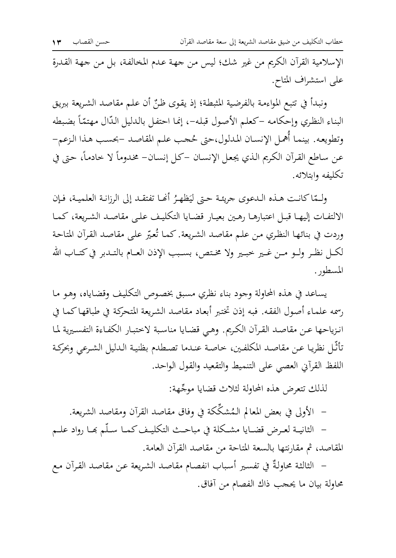الإسلامية القرآن الكريم من غير شك؛ ليس من جهة عدم المخالفة، بل من جهة القدرة على استشراف المتاح.

ونبدأ في تتبع المواءمة بالفرضية المثبطة؛ إذ يقوى ظنِّ أن علم مقاصد الشريعة ببريق البناء النظري وإحكامه –كعلم الأصول قبله–، إنما احتفل بالدليل الدّال مهتمّاً بضبطه وتطويعه. بينما أهمل الإنسان المدلول،حتى حُجب علم المقاصد –بحسب هذا الزعم– عن ساطع القرآن الكريم الذي يجعل الإنسان –كل إنسان– مخدوماً لا حادماً، حتى في تكليفه وابتلائه.

ولَّمّا كانت هـذه الـدعوى جريئـة حـتى ليَظهـرُ أَنَّفـا تفتقـد إلى الرزانـة العلميـة، فـإن الالتفـات إليهـا قبـل اعتبارهـا رهـين بعيـار قضـايا التكليـف علـي مقاصـد الشـريعة، كمـا وردت في بنائها النظري من علم مقاصد الشريعة. كما تُعيّر على مقاصد القرآن المتاحة لكــل نظـر ولــو مــن غــير خبــير ولا مخـتص، بســبب الإذن العــام بالتــدبر في كتــاب الله المسطور.

يساعد في هذه المحاولة وجود بناء نظري مسبق بخصوص التكليف وقضاياه، وهو ما رسمه علماء أصول الفقه. فبه إذن تختبر أبعاد مقاصد الشريعة المتحركة في طباقها كما في انـزياحها عـن مقاصـد القـرآن الكـريم. وهـي قضـايا مناسـبة لاختبـار الكفـاءة التفسـيرية لمـا تأتُّل نظريا عـن مقاصد المكلفـين، خاصـة عنـدما تصـطدم بظنيـة الـدليل الشـرعي وبحركـة اللفظ القرآني العصبي على التنميط والتقعيد والقول الواحد.

لذلك تتعرض هذه المحاولة لثلاث قضايا موجّهة:

– الأولى في بعض المعالم الـمُشكِّكة في وفاق مقاصد القرآن ومقاصد الشريعة.

– الثانيــة لعــرض قضــايا مشــكلة في مباحــث التكليـف كمــا سـلّم بحـا رواد علــم المقاصد، ثم مقارنتها بالسعة المتاحة من مقاصد القرآن العامة.

– الثالثة محاولةٌ في تفسير أسباب انفصام مقاصد الشريعة عن مقاصد القرآن مع محاولة بيان ما يحجب ذاك الفصام من آفاق.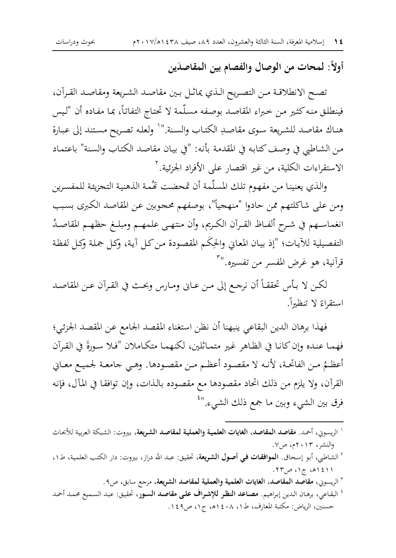أولاً: لمحات من الوصال والفصام بين المقاصدَين

تصح الانطلاقـة مـن التصـريح الـذي يماثـل بـين مقاصـد الشـريعة ومقاصـد القـرآن، فينطلق منه كثير من خبراء المقاصد بوصفه مسلّمة لا تحتاج التفاتاً، بما مفاده أن "ليس هناك مقاصد للشريعة سوي مقاصدِ الكتاب والسنة."` ولعله تصريح مستند إلى عبارة من الشاطبي في وصف كتابه في المقدمة بأنه: "في بيان مقاصد الكتاب والسنة" باعتماد الاستقراءات الكلية، من غير اقتصار على الأفراد الجزئية. <sup>٢</sup>

والذي يعنينا من مفهوم تلك المسلّمة أن تمحضت تَحُمة الذهنية التجزيئة للمفسرين ومن على شاكلتهم ممن حادوا "منهجياً"، بوصفهم محجوبين عن المقاصد الكبرى بسبب انغماسـهم في شـرح ألفـاظ القـرآن الكـريم، وأن منتهـى علمهـم ومبلـغ حظهـم المقاصـدُ التفصيلية للآيات؛ "إذ بيان المعابي والحِكَم المقصودة من كل آية، وكل جملة وكل لفظة قرآنية، هو غرض المفسر من تفسيره.''<sup>۳</sup>

لكن لا بأس تحققاً أن نرجع إلى من عـاني ومـارس وبحـث في القـرآن عـن المقاصـد استقراءً لا تنظيراً.

فهذا برهان الدين البقاعي ينبهنا أن نظن استغناء المقصد الجامع عن المقصد الجزئي؛ فهمـا عنـده وإن كـانـا في الظـاهر غـير متمـاثلين، لكنهمـا متكـاملان "فـلا سـورةَ في القـرآن أعظـمُ مـن الفاتحـة، لأنـه لا مقصـود أعظـم مـن مقصـودهـ. وهـي جامعـة لجميـع معـاني القرآن، ولا يلزم من ذلك اتحاد مقصودها مع مقصوده بالذات، وإن توافقا في المآل، فإنه فرق بين الشيء وبين ما جمع ذلك الش<sub>مىء.</sub>"<sup>؛</sup>

- ٢ الريسوني، مقاصد المقاصد، الغايات العلمية والعملية لمقاصد الشريعة، مرجع سابق، ص٩.
- <sup>؛</sup> البقاعي، برهان الدين إبراهيم. **مصاعد النظر للإشراف على مقاصد السور**، تحقيق: عبد السميع محمد أحمد حسنين، الرياض: مكتبة المعارف، ط١، ١٤٠٨ه، ج١، ص٤٩.

<sup>&#</sup>x27; الريسوني، أحمد. م**قاصد المقاصد، الغايات العلمية والعملية لمقاصد الشريعة**، بيروت: الشبكة العربية للأبحاث والنشر، ۲۰۱۳م، ص۷.

٢ الشاطي، أبو إسحاق. ا**لموافقات في أصول الشريعة**، تحقيق: عبد الله دراز، بيروت: دار الكتب العلمية، ط١، ۱۱؛۱۵، ج۱، ص۲۳.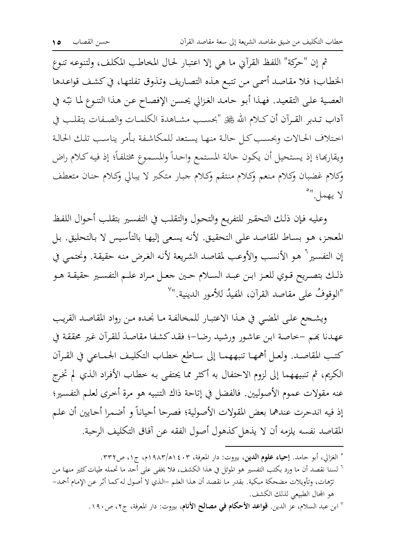ثم إن "حركة" اللفظ القرآني ما هي إلا اعتبار لحال المخاطب المكلف، ولتنوعه تنوع الخطاب؛ فلا مقاصد أسمى من تتبع هذه التصاريف وتذوق تفلتها، في كشف قواعدها العصية على التقعيد. فهذا أبو حامد الغزالي يحسن الإفصاح عن هذا التنوع لما نبّه في آداب تـدبر القـرآن أن كـلام الله ﷺ "بحسـب مشــاهدة الكلمــات والصـفات يتقلـب في احتلاف الحالات وبحسب كل حالة منها يستعد للمكاشفة بأمر يناسب تلك الحالة ويقاربها؛ إذ يستحيل أن يكون حالة المستمع واحداً والمسموع مختلفاً؛ إذ فيه كلام راض وكلام غضبان وكلام منعم وكلام منتقم وكلام جبار متكبر لا يبالي وكلام حنان متعطف لا يهمل."

وعليه فإن ذلك التحقير للتفريع والتحول والتقلب في التفسير بتقلب أحوال اللفظ المعجز، هـو بسـاط المقاصـد علـى التحقيق. لأنه يسعى إليهـا بالتأسيس لا بـالتحليق. بـل إن التفسير `` هو الأنسب والأوعب لمقاصد الشريعة لأنه الغرض منه حقيقة. ونحتمي في ذلك بتصريح قـوي للعـز ابـن عبـد السـلام حـين جعـل مـراد علـم التفسـير حقيقـة هـو "الوقوفُ على مقاصد القرآن، المفيدُ للأمور الدينية."`

ويشجع على المضى في هذا الاعتبار للمخالفة ما نحده من رواد المقاصد القريب عهدنا بَهم –خاصة ابن عاشور ورشيد رضا–؛ فقد كشفا مقاصدَ للقرآن غير محققة في كتب المقاصد. ولعـل أهمهـا تنبههمـا إلى سـاطع خطـاب التكليـف الجمـاعي في القـرآن الكريم، ثم تنبيههما إلى لزوم الاحتفال به أكثر مما يحتفي به خطاب الأفراد الذي لم تخرج عنه مقولات عموم الأصوليين. فالفضل في إتاحة ذاك التنبيه هو مرة أخرى لعلم التفسير؛ إذ فيه اندحرت عندهما بعض المقولات الأصولية؛ فصرحا أحياناً و أضمرا أحايين أن علم المقاصد نفسه يلزمه أن لا يذهل كذهول أصول الفقه عن آفاق التكليف الرحبة.

<sup>°</sup> الغزالي، أبو حامد. **إحياء علوم الدين**، بيروت: دار المعرفة، ٤٠٣ هـ/١٩٨٣م، ج١، ص٣٣٢.

<sup>&</sup>lt;sup>7</sup> لسنا نقصد أن ما ورد بكتب التفسير هو الموئل في هذا الكشف، فلا يخفي على أحد ما تحمله طيات كثير منها من ترّهات، وتأويلات مضحكة مبكية. بقدر ما نقصد أن هذا العلم –الذي لا أصول له كما أثر عن الإمام أحمد– هو المحال الطبيعي لذلك الكشف.

<sup>&</sup>lt;sup>٧</sup> ابن عبد السلام، عز الدين. **قواعد الأحكام في مصالح الأنام**، بيروت: دار المعرفة، ج٢، ص١٩٠.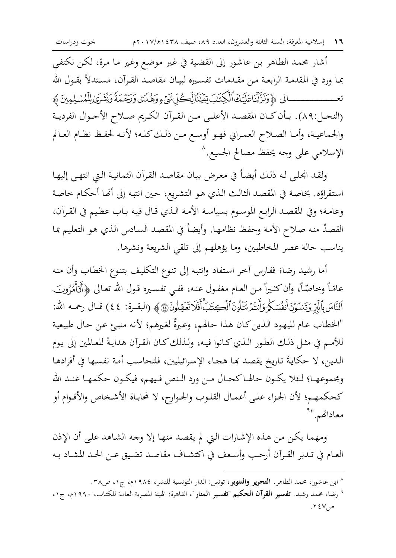أشار محمد الطاهر بن عاشور إلى القضية في غير موضع وغير ما مرة، لكن نكتفي بما ورد في المقدمـة الرابعـة مـن مقـدمات تفسـيره لبيـان مقاصـد القـرآن، مسـتدلاً بقـول الله تعــــــــــــــالى ﴿وَنَزَّلْنَاعَلَيْكَ ٱلْكِتَبَ تِبْيَنَالِّكُلِّ شَيْءٍ وَهُدَى وَرَجْمَةَ وَيُثْرَىٰ لِلْمُسْلِمِينَ ﴾ (النحـل:٨٩). بـأن كـان المقصـد الأعلـى مـن القـرآن الكـريم صـلاح الأحـوال الفرديـة والجماعية، وأمـا الصـلاح العمـراني فهـو أوسـع مـن ذلـك كلـه؛ لأنـه لحفـظ نظـام العـالم الإسلامي على وجه يحفظ مصالح الحميع. ^

ولقد انحلي له ذلك أيضاً في معرض بيان مقاصد القرآن الثمانية التي انتهى إليها استقراؤه. بخاصة في المقصد الثالث الذي هو التشريع، حين انتبه إلى أنها أحكام خاصة وعامة؛ وفي المقصد الرابع الموسوم بسياسة الأمة الذي قال فيه باب عظيم في القرآن، القصدُ منه صلاح الأمة وحفظ نظامها. وأيضاً في المقصد السادس الذي هو التعليم بما يناسب حالة عصر المخاطبين، وما يؤهلهم إلى تلقي الشريعة ونشرها.

أما رشيد رضا؛ ففارس آخر استفاد وانتبه إلى تنوع التكليف بتنوع الخطاب وأن منه عامّاً وخاصّاً، وأن كثـيراً مـن العـام مغفـول عنـه، ففـي تفسـيره قـول الله تعـالي ﴿أَتَأَمُّرُونَــِ ٱلنَّاسَ بِٱلۡبِرِّ وَتِسۡوَنَ أَنفُسَكُمۡ وَأَنتُمۡ تَتَلُونَٱلۡكِحَتَبَۚ أَفَلَاتَعۡقِلُونَ۞﴾ (البقـرة: ٤٤) قـال رحمـه الله: "الخطاب عام لليهود الذين كان هذا حالهم، وعبرةٌ لغيرهم؛ لأنه منبئ عن حال طبيعية للأمم في مثل ذلك الطور الذي كانوا فيه، ولذلك كان القرآن هدايةً للعالمين إلى يوم الدين، لا حكايةَ تاريخ يقصد بما هجاء الإسرائيليين، فلتحاسب أمة نفسها في أفرادها ومحموعهـا؛ لــئلا يكــون حالهـا كحـال مـن ورد الـنص فـيهم، فيكـون حكمهـا عنـد الله كحكمهم؛ لأن الحزاء على أعمال القلوب والحوارح، لا لمحاباة الأشخاص والأقوام أو معاداتهم."أ

ومهما يكن من هذه الإشارات التي لم يقصد منها إلا وجه الشاهد على أن الإذن العـام في تـدبر القـرآن أرحـب وأسـعف في اكتشـاف مقاصـد تضـيق عـن الحـد المشـاد بـه

<sup>^</sup> ابن عاشور، محمد الطاهر. ا**لتحرير والتنوير**، تونس: الدار التونسية للنشر، ١٩٨٤م، ج١، ص٣٨.

<sup>°</sup> رضا، محمد رشيد. **تفسير القرآن الحكيم "تفسير المنار**"، القاهرة: الهيئة المصرية العامة للكتاب، ١٩٩٠م، ج١، ص٧٤٧.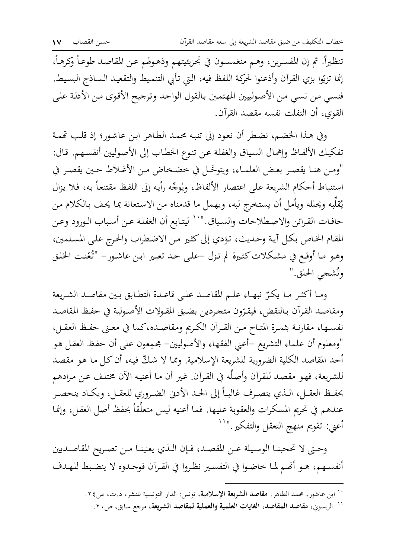تنظيراً. ثم إن المفسرين، وهـم منغمسـون في تحزيئيتهم وذهـولهم عـن المقاصـد طوعـاً وكرهـاً، إنما تزيّوا بزي القرآن وأذعنوا لحركة اللفظ فيه، التي تأبي التنميط والتقعيد الساذج البسيط. فنسى من نسبي من الأصولييين المهتمين بالقول الواحد وترجيح الأقوى من الأدلة على القوى، أن التفلت نفسه مقصد القرآن.

وفي هذا الخضم، نضطر أن نعود إلى تنبه محمد الطاهر ابن عاشور؛ إذ قلب تممة تفكيك الألفاظ وإهمال السياق والغفلة عن تنوع الخطاب إلى الأصوليين أنفسهم. قال: "ومن هنـا يقصـر بعـض العلمـاء، ويتوحَّـل في خضـخاض مـن الأغـلاط حـين يقصـر في استنباط أحكام الشريعة على اعتصار الألفاظ، ويُوجِّه رأيه إلى اللفظ مقتنعاً به، فلا يزال يُقلِّبه ويُحلله ويأمل أن يستخرج لبه، ويهمل ما قدمناه من الاستعانة بما يحف بالكلام من حافـات القـرائن والاصـطلاحات والسـياق."`` ليتـابع أن الغفلـة عـن أسباب الـورود وعـن المقام الخاص بكل أية وحديث، تؤدي إلى كثيرٍ من الاضطراب والحرج على المسلمين، وهـو مـا أوقـع في مشكلات كثـيرة لم تـزل –علـي حـد تعبـير ابـن عـاشـور– "تُعْنـت الحْلـق وتُشجى الحلق."

ومـا أكثـر مـا يكـرّ نبهـاء علـم المقاصـد علـى قاعـدة التطـابق بـين مقاصـد الشـريعة ومقاصد القرآن بالنقض، فيقرّون متجردين بضيق المقولات الأصولية في حفظ المقاصد نفسـها، مقارنـة بثمـرة المتـاح مـن القـرآن الكـريم ومقاصـده،كما في معـني حفـظ العقـل، "ومعلوم أن علماء التشريع –أعنى الفقهاء والأصوليين– مجمِعون على أن حفظ العقل هو أحد المقاصد الكلية الضرورية للشريعة الإسلامية. ومما لا شكَّ فيه، أن كل ما هو مقصد للشريعة، فهو مقصد للقرآن وأصلُه في القرآن. غير أن ما أعنيه الآن مختلف عن مرادهم بحفـظ العقـل، الـذي ينصـرف غالبـاً إلى الحـد الأدنى الضـروري للعقـل، ويكـاد ينحصـر عندهم في تحريم المسكرات والعقوبة عليها. فما أعنيه ليس متعلِّقاً بحفظ أصل العقل، وإنما أعني: تقويم منهج التعقل والتفكير."''

وحتى لا تحجبنـا الوسـيلة عـن المقصـد، فـإن الـذي يعنينـا مـن تصـريح المقاصـديين أنفسهم، هـو أَصَّم لما خاضوا في التفسير نظـروا في القـرآن فوجـدوه لا ينضبط للهـدف

`` ابن عاشور، محمد الطاهر. مقاصد الشريعة الإسلامية، تونس: الدار التونسية للنشر، د.ت، ص٢٤.

<sup>``</sup> الريسوني، مقاصد المقاصد، الغايات العلمية والعملية لمقاصد الشريعة، مرجع سابق، ص٢٠.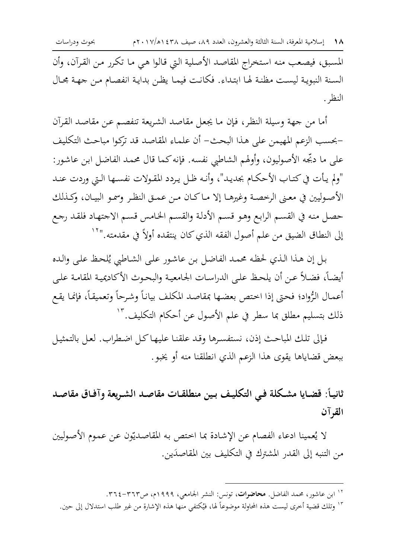المسبق، فيصعب منه استخراج المقاصد الأصلية التي قالوا هي ما تكرر من القرآن، وأن السنة النبوية ليست مظنة لها ابتداء. فكانت فيمـا يظن بدايـة انفصـام مـن جهـة مجـال النظ .

أما من جهة وسيلة النظر، فإن ما يجعل مقاصد الشريعة تنفصم عن مقاصد القرآن –بحسب الزعم المهيمن على هذا البحث– أن علماء المقاصد قد تركوا مباحث التكليف على ما دبِّجه الأصوليون، وأولهم الشاطبي نفسه. فإنه كما قال محمد الفاضل ابن عاشور: "ولم يأت في كتـاب الأحكـام بجديـد"، وأنـه ظـل يـردد المقـولات نفسـها الـتي وردت عنـد الأصوليين في معنى الرحصة وغيرهـا إلا مـاكـان مـن عمـق النظـر وسمـو البيـان، وكـذلك حصل منه في القسم الرابع وهو قسم الأدلة والقسم الخامس قسم الاجتهاد فلقد رجع إلى النطاق الضيق من علم أصول الفقه الذي كان ينتقده أولاً في مقدمته."``

بل إن هذا الذي لحظه محمد الفاضل بن عاشور على الشاطبي يُلحظ على والده أيضـاً، فضـلاً عـن أن يلحظ علـى الدراسـات الجامعيـة والبحـوث الأكاديميـة المقامـة علـى أعمال الرُّواد؛ فحتى إذا اختص بعضها بمقاصد المكلف بياناً وشرحاً وتعميقاً، فإنما يقع ذلك بتسليم مطلق بما سطر في علم الأصول عن أحكام التكليف. "`

فإلى تلك المباحث إذن، نستفسرها وقد علقنا عليها كل اضطراب. لعل بالتمثيل ببعض قضاياها يقوى هذا الزعم الذي انطلقنا منه أو يخبو.

ثانيـاً: قضـايا مشـكلة فـي التكليـف بـين منطلقـات مقاصـد الشـريعة وآفـاق مقاصـد القرآن

لا يُعمينا ادعاء الفصام عن الإشادة بما اختص به المقاصديّون عن عموم الأصوليين من التنبه إلى القدر المشترك في التكليف بين المقاصدَين.

<sup>&</sup>lt;sup>۱۲</sup> ابن عاشور، محمد الفاضل. **محاضرات**، تونس: النشر الجامعي، ۱۹۹۹م، ص۳٦۲–۳٦٤.

١٣ وتلك قضية أخرى ليست هذه المحاولة موضوعاً لها، فيُكتفى منها هذه الإشارة من غير طلب استدلال إلى حين.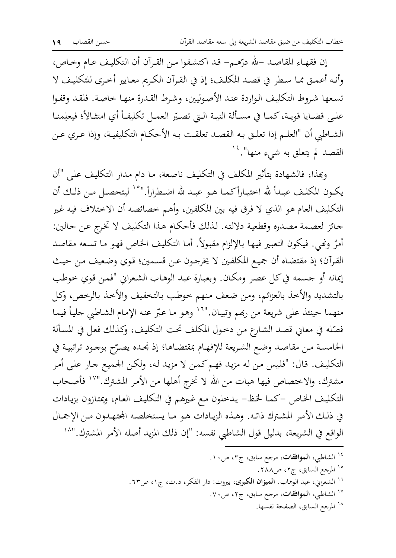إن فقهـاء المقاصـد –لله درّهـم– قـد اكتشـفوا مـن القـرآن أن التكليـف عـام وخـاص، وأنه أعمـق ممـا سـطر في قصـد المكلـف؛ إذ في القـرآن الكـريم معـايير أخـرى للتكليـف لا تسعها شروط التكليف الواردة عند الأصوليين، وشرط القدرة منها حاصة. فلقد وقفوا علـى قضـايا قويـة، كـمـا في مسـألة النيـة الـتي تصـيّر العمـل تكليفـاً أي امتثـالاً؛ فيعلِمنــا الشــاطـي أن "العلــم إذا تعلـق بـه القصـد تعلقـت بـه الأحكــام التكليفيـة، وإذا عـري عـن القصد لم يتعلق به ش<sub>مىء</sub> منها".<sup>١٤</sup>

وبِمذا، فالشهادة بتأثير المكلف في التكليف ناصعة، ما دام مدار التكليف على "أن يكـون المكلـف عبـداً لله اختيـاراًكمـا هـو عبـد لله اضـطراراً."°` ليتحصـل مـن ذلـك أن التكليف العام هو الذي لا فرق فيه بين المكلفين، وأهم خصائصه أن الاختلاف فيه غير جائز لعصمة مصدره وقطعية دلالته. لذلك فأحكام هذا التكليف لا تخرج عن حالين: أمرٌ ونَّفي. فيكون التعبير فيها بالإلزام مقبولاً. أما التكليف الخاص فهو ما تسعه مقاصد القرآن؛ إذ مقتضاه أن جميع المكلفين لا يخرجون عن قسمين؛ قوي وضعيف من حيث إيمانه أو جسمه في كل عصر ومكان. وبعبارة عبد الوهاب الشعراني "فمن قوي خوطب بالتشديد والأخذ بالعزائم، ومن ضعف منهم خوطب بالتخفيف والأخذ بالرخص، وكل منهما حينئذ على شريعة من ربَّمم وتبيان.''`` وهو ما عبّر عنه الإمام الشاطبي جلياً فيما فصّله في معاني قصد الشارع من دحول المكلف تحت التكليف، وكذلك فعل في المسألة الخامسة من مقاصد وضع الشريعة للإفهام بمقتضاها؛ إذ نحده يصرّح بوحود تراتبية في التكليف. قال: "فليس من له مزيد فهم كمن لا مزيد له، ولكن الجميع جار على أمر مشترك، والاختصاص فيها هبات من الله لا تخرِج أهلها من الأمر المشترك.''`` فأصحاب التكليف الخاص –كما لخظ– يدخلون مع غيرهم في التكليف العام، ويمتازون بزيادات في ذلك الأمر المشترك ذاته. وهـذه الزيـادات هـو مـا يستخلصه المجتهـدون مـن الإجمـال الواقع في الشريعة، بدليل قول الشاطبي نفسه: "إن ذلك المزيد أصله الأمر المشترك."^'

> ،<br><sup>،</sup> الشاطبي، **الموافقات**، مرجع سابق، ج٣، ص١٠. <sup>10</sup> المرجع السابق، ج٢، ص٢٨٨. <sup>١٦</sup> الشعراني، عبد الوهاب. **الميزان الكبرى**، بيروت: دار الفكر، د.ت، ج١، ص٦٣. <sup>١٧</sup> الشاطبي، **الموافقات**، مرجع سابق، ج٢، ص٧٠. ١٨ المرجع السابق، الصفحة نفسها.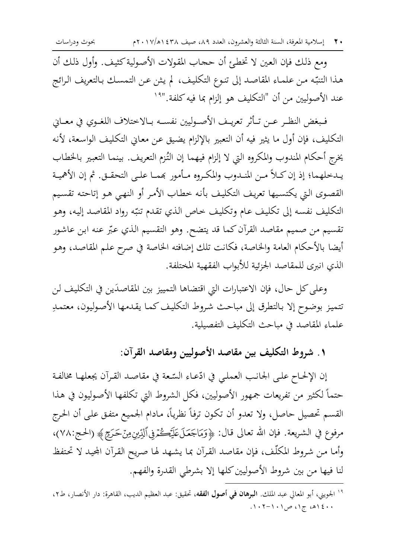• ٢ إسلامية المعرفة، السنة الثالثة والعشرون، العدد ٨٩، صيف ٤٣٨ (١٧/١١٧م

بحوث ودراسات

ومع ذلك فإن العين لا تخطئ أن حجاب المقولات الأصولية كثيف. وأول ذلك أن هذا التنبّه من علمـاء المقاصـد إلى تنـوع التكليف، لم يـثن عـن التمسـك بـالتعريف الـرائج عند الأصوليين من أن "التكليف هو إلزام بما فيه كلفة."<sup>١٩</sup>

فـبغض النظـر عـن تـأثر تعريـف الأصـوليين نفسـه بـالاختلاف اللغـوي في معـاني التكليف، فإن أول ما يثير فيه أن التعبير بالإلزام يضيق عن معاني التكليف الواسعة، لأنه يخرج أحكام المندوب والمكروه التي لا إلزام فيهما إن التُزم التعريف. بينما التعبير بالخطاب يـدخلهما؛ إذ إن كـلاً مـن المنـدوب والمكـروه مـأمور بَممـا علـى التحقـق. ثم إن الأهميـة القصوى التي يكتسيها تعريف التكليف بأنه خطاب الأمر أو النهي هو إتاحته تقسيم التكليف نفسه إلى تكليف عام وتكليف خاص الذي تقدم تنبّه رواد المقاصد إليه، وهو تقسيم من صميم مقاصد القرآن كما قد يتضح. وهو التقسيم الذي عبّر عنه ابن عاشور أيضا بالأحكام العامة والخاصة، فكانت تلك إضافته الخاصة في صرح علم المقاصد، وهو الذي انبرى للمقاصد الحزئية للأبواب الفقهية المختلفة.

وعلى كل حال، فإن الاعتبارات التي اقتضاها التمييز بين المقاصدَين في التكليف لن تتميز بوضوح إلا بالتطرق إلى مباحث شروط التكليف كما يقدمها الأصوليون، معتمدِ علماء المقاصد في مباحث التكليف التفصيلية.

١ . شروط التكليف بين مقاصد الأصوليين ومقاصد القرآن:

إن الإلحـاح علـى الجـانـب العملـى في ادّعـاء السّـعة في مقاصـد القـرآن يجعلهـا مخالفـة حتماً لكثير من تفريعات جمهور الأصوليين، فكل الشروط التي تكلفها الأصوليون في هذا القسم تحصيل حاصل، ولا تعدوٍ أن تكون ترفأ نظرياً، مادام الجميع متفق على أن الحرج مرفوع في الشريعة. فإن الله تعالى قال: ﴿وَمَاجَعَلَ عَلَيۡڪُمۡڨِۚالَّذِينِ مِنۡ حَـرَجِ ﴾ (الحـج:٧٨)، وأما من شروط المكلَّف، فإن مقاصد القرآن بما يشهد لها صريح القرآن المحيد لا تحتفظ لنا فيها من بين شروط الأصوليين كلها إلا بشرطي القدرة والفهم.

<sup>&</sup>lt;sup>١٩</sup> الجويني، أبو المعالي عبد الملك. **البرهان في أصول الفقه**، تحقيق: عبد العظيم الديب، القاهرة: دار الأنصار، ط٢،  $.1.5 - 1.1 = 0.12 + 1.1$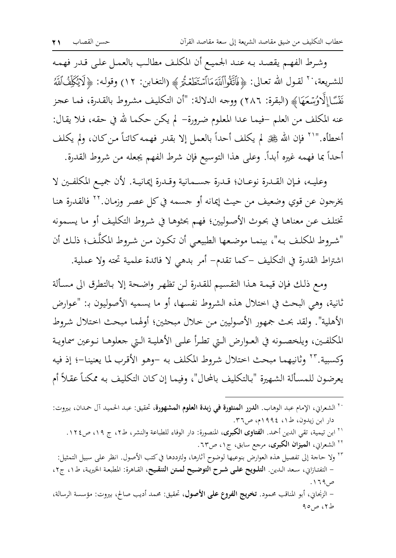وشرط الفهم يقصد به عند الجميع أن المكلف مطالب بالعمل على قدر فهمه للشريعة، `` لقـول الله تعـالى: ﴿فَأَتَقُواْاللَّهَ مَاأَسْتَطَعْتُمْ ﴾ (التغابن: ١٢) وقولـه: ﴿لَا يُكِلِّفُٱللَّهُ نَفَّسًا إِلَّاوُسۡعَهَا﴾ (البقرة: ٢٨٦) ووجه الدلالة: "أن التكليف مشروط بالقدرة، فما عجز عنه المكلف من العلم –فيما عدا المعلوم ضرورة– لم يكن حكما لله في حقه، فلا يقال: أخطأه.''`` فإن الله ﷺ لم يكلف أحداً بالعمل إلا بقدر فهمه كائناً من كان، ولم يكلف أحداً بما فهمه غيره أبداً. وعلى هذا التوسيع فإن شرط الفهم يجعله من شروط القدرة.

وعليه، فإن القدرة نوعـان؛ قـدرة حسـمانية وقـدرة إيمانيـة. لأن جميـع المكلفـين لا يخرجون عن قوي وضعيف من حيث إيمانه أو جسمه في كل عصر وزمان.''' فالقدرة هنا تختلف عن معناها في بحوث الأصوليين؛ فهم بحثوها في شروط التكليف أو ما يسمونه "شروط المكلف به"، بينمـا موضعها الطبيعـي أن تكون مـن شـروط المكلَّف؛ ذلـك أن اشتراط القدرة في التكليف –كما تقدم– أمر بدهي لا فائدة علمية تحته ولا عملية.

ومع ذلك فإن قيمة هذا التقسيم للقدرة لن تظهر واضحة إلا بالتطرق الى مسألة ثانية، وهي البحث في اختلال هذه الشروط نفسها، أو ما يسميه الأصوليون بـ: "عوارض الأهلية". ولقد بحث جمهور الأصوليين من خلال مبحثين؛ أولهما مبحث اختلال شروط المكلفين، ويلخصونه في العـوارض الـتي تطـرأ علـي الأهليـة الـتي جعلوهـا نـوعين سماويـة وكسبية.''' وثانيهما مبحث اختلال شروط المكلف به –وهو الأقرب لما يعنينا–؛ إذ فيه يعرضون للمسألة الشهيرة "بالتكليف بالمحال"، وفيما إن كان التكليف به ممكناً عقلاً أم

`` الشعراني، الإمام عبد الوهاب. ا**لدرر المنثورة في زبدة العلوم المشهورة**، تحقيق: عبد الحميد آل حمدان، بيروت: دار ابن زیدون، ط١، ١٩٩٤م، ص٣٦. <sup>٢١</sup> ابن تيمية، تقى الدين أحمد. **الفتاوى الكبرى**، المنصورة: دار الوفاء للطباعة والنشر، ط٢، ج ١٩، ص١٢٤. <sup>۲۲</sup> الشعرابي، **الميزان الكبرى**، مرجع سابق، ج۱، ص٦٣. ٢٢ ولا حاجة إلى تفصيل هذه العوارض بنوعيها لوضوح آثارها، ولترددها في كتب الأصول. انظر على سبيل التمثيل: – التفتازاني، سعد الدين. التلويح على شرح التوضيح لمتن التنقيح، القاهرة: المطبعة الخيرية، ط١، ج٢، ص ۶۶ ۱. – الزنجان، أبو المناقب محمود. تخريج الفروع على الأصول، تحقيق: محمد أديب صالح، بيروت: مؤسسة الرسالة، ط۲، ص٥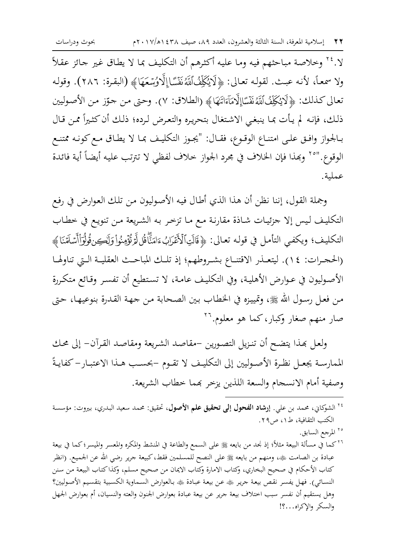لا.'' وخلاصة مباحثهم فيه وما عليه أكثرهم أن التكليف بما لا يطاق غير جائز عقلاً ولا سمعـاً، لأنـه عبـث. لقولـه تعـالى: ﴿لَا يُكَلِّفُٱللَّهُ نَفَسًاٳلَّاوُسۡعَهَا﴾ (البقـرة: ٢٨٦). وقولـه تعالى كذلك: ﴿لَايُكَلِّفُٱلَّهُ نَفْسًاإِلَّامَآءَاتَنَهَا﴾ (الطلاق: ٧). وحتى من حوّز من الأصوليين ذلك، فإنه لم يأت بما ينبغي الاشتغال بتحريره والتعرض لرده؛ ذلك أن كثيراً ممن قال بـالجواز وافـق علـى امتنـاع الوقـوع، فقـال: "يجـوز التكليـف بمـا لا يطـاق مـع كونـه ممتنـع الوقوع."°` وبَحذا فإن الخلاف في مجرد الجواز خلاف لفظي لا تترتب عليه أيضاً أية فائدة عملية.

وجملة القول، إننا نظن أن هذا الذي أطال فيه الأصوليون من تلك العوارض في رفع التكليف ليس إلا جزئيات شاذة مقارنة مع ما تزخر به الشريعة من تنويع في خطاب التكليف؛ ويكفي التأمل في قوله تعالى: ﴿قَالَتِٱلْأَعْرَابُءَامَنَّأْقُلَالَّمِرُّوْمِنُواْوَلَلْكِنْقُولُوَاأَسْلَمْنَا ﴾ (الحجرات: ١٤). ليتعـذر الاقتنـاع بشـروطهم؛ إذ تلـك المباحـث العقليـة الـتي تناولهـا الأصوليون في عـوارض الأهلية، وفي التكليف عامـة، لا تستطيع أن تفسـر وقـائع متكـررة من فعل رسول الله ﷺ، وتمييزه في الخطاب بين الصحابة من جهة القدرة بنوعيها، حتى صار منهم صغار وكبار، كما هو معلوم.''

ولعل بهذا يتضح أن تنزيل التصورين –مقاصد الشريعة ومقاصد القرآن– إلى محك الممارسـة يجعـل نظـرة الأصـوليين إلى التكليـف لا تقـوم –بحسـب هـذا الاعتبـار– كفايـةً وصفية أمام الانسحام والسعة اللذين يزخر بمما خطاب الشريعة.

- <sup>٢٤</sup> الشوكاني، محمد بن علي. إ**رشاد الفحول إلى تحقيق علم الأصول**، تحقيق: محمد سعيد البدري، بيروت: مؤسسة الكتب الثقافية، ط١، ص٢٩.
	- <sup>٢٥</sup> المرجع السابق.

٢٦ كما في مسألة البيعة مثلاً؛ إذ نجد من بايعه ﷺ على السمع والطاعة في المنشط والمكره والمعسر والميسر؛ كما في بيعة عبادة بن الصامت ﷺ، ومنهم من بايعه ﷺ على النصح للمسلمين فقط، كبيعة جرير رضي الله عن الجميع. (انظر كتاب الأحكام في صحيح البخاري، وكتاب الامارة وكتاب الايمان من صحيح مسلم، وكذا كتاب البيعة من سنن النسائي). فهل يفسر نقص بيعة جرير ﷺ عن بيعة عبادة ﷺ بالعوارض السماوية الكسبية بتقسيم الأصوليين؟ وهل يستقيم أن نفسر سبب اختلاف بيعة جرير عن بيعة عبادة بعوارض الجنون والعته والنسيان، أم بعوارض الجهل والسكر والإكراه...؟!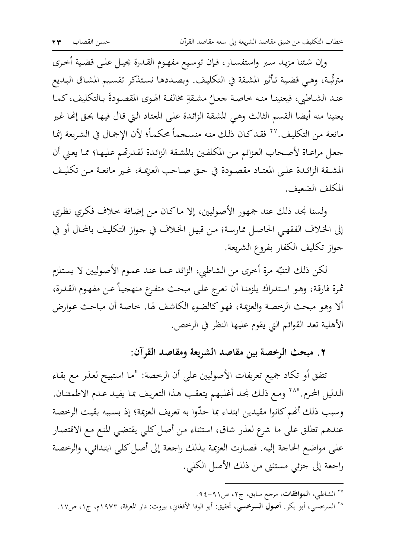وإن شئنا مزيد سبر واستفسار، فإن توسيع مفهوم القدرة يحيل على قضية أحرى مترتِّبة، وهي قضية تأثير المشقة في التكليف. وبصددها نستذكر تقسيم المشاق البديع عنـد الشـاطبي، فيعنينـا منـه خـاصـة جعـلٌ مشـقةِ مخالفـة الهـوى المقصـودةَ بـالتكليف، كـمـا يعنينا منه أيضا القسم الثالث وهي المشقة الزائدة على المعتاد التي قال فيها بحق إنها غير مانعة من التكليف.'`` فقد كان ذلك منه منسجماً محكماً؛ لأن الإجمال في الشريعة إنما جعل مراعـاة لأصحاب العزائم مـن المكلفـين بالمشقة الزائدة لقـدرتهم عليهـا؛ ممـا يعني أن المشـقة الزائـدة علـي المعتـاد مقصـودة في حـق صـاحب العزيمـة، غـير مانعـة مـن تكليـف المكلف الضعيف.

ولسنا نجد ذلك عند جمهور الأصوليين، إلا ماكان من إضافة خلاف فكري نظري إلى الخلاف الفقهي الحاصل ممارسة؛ من قبيل الخلاف في جواز التكليف بالمحال أو في جواز تكليف الكفار بفروع الشريعة.

لكن ذلك التنبّه مرة أخرى من الشاطبي، الزائد عما عند عموم الأصوليين لا يستلزم ثمرة فارقة، وهو استدراك يلزمنا أن نعرج على مبحث متفرع منهجياً عن مفهوم القدرة، ألا وهو مبحث الرحصة والعزيمة، فهو كالضوء الكاشف لها. خاصة أن مباحث عوارض الأهلية تعد القوائم التي يقوم عليها النظر في الرخص.

٢ . مبحث الرخصة بين مقاصد الشريعة ومقاصد القرآن:

تتفق أو تكاد جميع تعريفات الأصوليين على أن الرخصة: "ما استبيح لعذر مع بقاء الدليل المحرم.''`` ومع ذلك نحد أغلبهم يتعقب هذا التعريف بما يفيد عدم الاطمئنان. وسبب ذلك أنهم كانوا مقيدين ابتداء بما حدّوا به تعريف العزيمة؛ إذ بسببه بقيت الرخصة عندهم تطلق على ما شرع لعذر شاق، استثناء من أصل كلى يقتضى المنع مع الاقتصار على مواضع الحاجة إليه. فصارت العزيمة بذلك راجعة إلى أصل كلي ابتدائي، والرخصة راجعة إلى جزئبي مستثنى من ذلك الأصل الكلبي.

<sup>&</sup>lt;sup>۲۷</sup> الشاطبي، **الموافقات**، مرحع سابق، ج۲، ص۹۱-۹٤.

<sup>&</sup>lt;sup>٢٨</sup> السرخسي، أبو بكر. **أصول السرخس**ي، تحقيق: أبو الوفا الأفغاني، بيروت: دار المعرفة، ١٩٧٣م، ج١، ص١٧.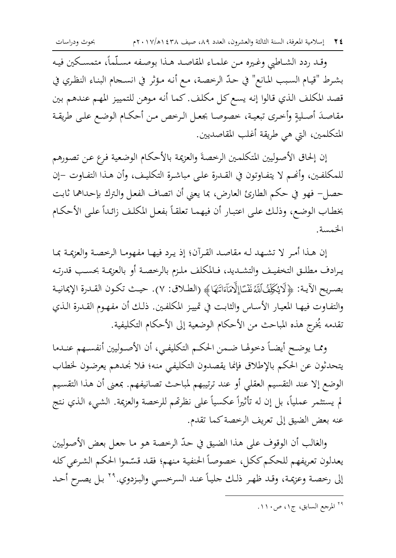وقد ردد الشاطبي وغيره من علمـاء المقاصـد هـذا بوصـفه مسـلَّماً، متمسـكين فيـه بشرط "قيـام السـبب المـانع" في حـدّ الرخصـة، مـع أنـه مـؤثر في انسـحام البنـاء النظـري في قصد المكلف الذي قالوا إنه يسع كل مكلف. كما أنه موهن للتمييز المهم عندهم بين مقاصدَ أصليةٍ وأخرى تبعية، خصوصا بجعل الرخص من أحكام الوضع علىي طريقة المتكلمين، التي هي طريقة أغلب المقاصديين.

إن إلحاق الأصوليين المتكلمين الرحصة والعزيمة بالأحكام الوضعية فرع عن تصورهم للمكلفين، وأنَّصم لا يتفـاوتون في القـدرة علـى مباشـرة التكليـف، وأن هـذا التفـاوت –إن حصل– فهو في حكم الطارئ العارض، بما يعني أن اتصاف الفعل والترك بإحداهما ثابت بخطاب الوضع، وذلك على اعتبار أن فيهما تعلقاً بفعل المكلف زائداً على الأحكام الخمسة.

إن هـذا أمـر لا تشـهد لـه مقاصـد القـرآن؛ إذ يـرد فيهـا مفهومـا الرخصـة والعزيمـة بمـا يرادف مطلـق التخفيـف والتشـديد، فـالمكلف ملـزم بالرخصـة أو بالعزيمـة بحسـب قدرتـه بصريح الآيـة: ﴿لَايُكَلِّفُٱلَّهُ نَفْسًاإِلَّامَآءَاتَنَهَا﴾ (الطـلاق: ٧). حيـث تكـون القـدرة الإيمانيـة والتفـاوت فيهـا المعيـار الأسـاس والثابت في تمييـز المكلفـين. ذلـك أن مفـهـوم القـدرة الـذي تقدمه يُخرِج هذه المباحث من الأحكام الوضعية إلى الأحكام التكليفية.

ومما يوضح أيضاً دخولها ضمن الحكم التكليفي، أن الأصوليين أنفسهم عندما يتحدثون عن الحكم بالإطلاق فإنما يقصدون التكليفي منه؛ فلا نحدهم يعرضون لخطاب الوضع إلا عند التقسيم العقلي أو عند ترتيبهم لمباحث تصانيفهم. بمعنى أن هذا التقسيم لم يستثمر عملياً، بل إن له تأثيراً عكسياً على نظرتمم للرخصة والعزيمة. الشيء الذي نتج عنه بعض الضيق إلى تعريف الرخصة كما تقدم.

والغالب أن الوقوف على هذا الضيق في حدّ الرخصة هو ما جعل بعض الأصوليين يعدلون تعريفهم للحكم ككل، خصوصاً الحنفية منهم؛ فقد قسّموا الحكم الشرعي كله إلى رخصة وعزيمة، وقد ظهر ذلك حلياً عند السرخسي والبزدوي.٢٩ بل يصرح أحد

<sup>۲۹</sup> المرجع السابق، ج۱، ص۱۱۰.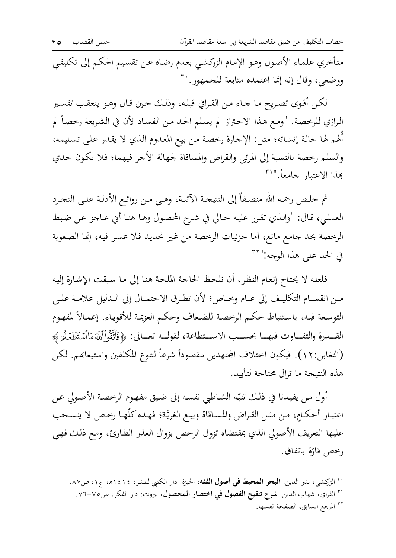متأخري علماء الأصول وهو الإمام الزركشي بعدم رضاه عن تقسيم الحكم إلى تكليفي ووضعي، وقال إنه إنما اعتمده متابعة للجمهور. ``

لكن أقوى تصريح ما جاء من القرافي قبله، وذلك حين قال وهو يتعقب تفسير الرازي للرخصة. "ومع هذا الاحتراز لم يسلم الحد من الفساد لأن في الشريعة رخصاً لم أَلهم لها حالة إنشائه؛ مثل: الإجارة رخصة من بيع المعدوم الذي لا يقدر على تسليمه، والسلم رحصة بالنسبة إلى المرئي والقراض والمساقاة لجهالة الأجر فيهما؛ فلا يكون حدي بهذا الاعتبار جامعاً."ا

ثم خلص رحمه الله منصفاً إلى النتيحة الآتية، وهي من روائع الأدلة على التحرد العملي، قال: "والذي تقرر عليه حالي في شرح المحصول وهـا هنـا أني عـاجز عـن ضبط الرخصة بحد جامع مانع، أما جزئيات الرخصة من غير تحديد فلا عسر فيه، إنما الصعوبة في الحد على هذا الوجه!"\*\*

فلعله لا يحتاج إنعام النظر، أن نلحظ الحاجة الملحة هنا إلى ما سبقت الإشارة إليه مـن انقسـام التكليـف إلى عـام وخـاص؛ لأن تطـرق الاحتمـال إلى الـدليل علامـة علـي التوسعة فيه، باستنباط حكم الرحصة للضعاف وحكم العزيمة للأقوياء. إعمالاً لمفهوم القـــدرة والتفـــاوت فيهـــا بحســـب الاســتطاعة، لقولـــه تعــالى: ﴿قَاَّتَّقُوْاْالَّهَءَاٱسْتَطَعَتْمَ ﴾ (التغابن:١٢). فيكون اختلاف الجتهدين مقصوداً شرعاً لتنوع المكلفين واستيعابهم. لكن هذه النتيحة ما تزال محتاجة لتأييد.

أول من يفيدنا في ذلك تنبّه الشاطبي نفسه إلى ضيق مفهوم الرخصة الأصولي عن اعتبار أحكامٍ، من مثل القراض والمساقاة وبيع العَرِيَّة؛ فهذه كلَّها رخص لا ينسحب عليها التعريف الأصولي الذي بمقتضاه تزول الرحص بزوال العذر الطارئ، ومع ذلك فهي رخص قارّة باتفاق.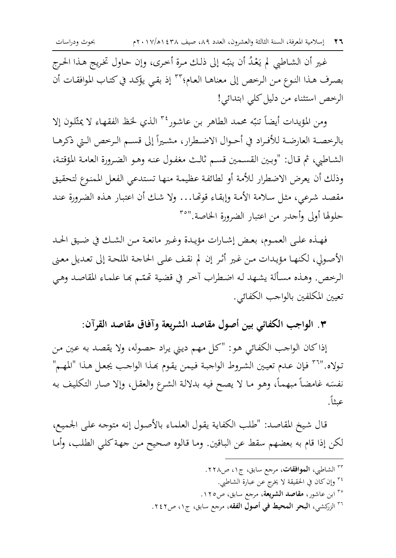٢٦ إسلامية المعرفة، السنة الثالثة والعشرون، العدد ٨٩، صيف ١٤٣٨ه/١٠١٧م

غير أن الشـاطبي لم يَعْدُ أن ينبّه إلى ذلك مـرة أخـري، وإن حـاول تخريج هـذا الحـرج بصرف هذا النوع من الرحص إلى معناهـا العـام؛ ٢٣ إذ بقي يؤكـد في كتـاب الموافقـات أن الرخص استثناء من دليل كلي ابتدائي!

ومن المؤيدات أيضاً تنبّه محمد الطاهر بن عاشور<sup>٢٤</sup> الذي لخظ الفقهاء لا يمثّلون إلا بالرحصـة العارضـة للأفـراد في أحـوال الاضـطرار، مشـيراً إلى قسـم الـرخص الـتي ذكرهـا الشاطبي، ثم قال: "وبين القسمين قسم ثالث مغفول عنه وهـو الضرورة العامـة المؤقتـة، وذلك أن يعرض الاضطرار للأمة أو لطائفة عظيمة منها تستدعى الفعل الممنوع لتحقيق مقصد شرعي، مثل سلامة الأمة وإبقاء قوتها... ولا شك أن اعتبار هذه الضرورة عند حلولها أولى وأجدر من اعتبار الضرورة الخاصة."°

فهـذه علـى العمـوم، بعـض إشـارات مؤيـدة وغـير مانعـة مـن الشـك في ضـيق الحـد الأصولي، لكنها مؤيدات من غير أثر إن لم نقف على الحاجة الملحة إلى تعديل معنى الرحص. وهذه مسألة يشهد له اضطراب آحر في قضية تَممّم بَما علماء المقاصد وهي تعيين المكلفين بالواحب الكفائي.

٣. الواجب الكفائي بين أصول مقاصد الشريعة وآفاق مقاصد القرآن:

إذاكان الواجب الكفائي هو: "كل مهم ديني يراد حصوله، ولا يقصد به عين من تولاه.'''`` فإن عدم تعيين الشروط الواجبة فيمن يقوم بهذا الواجب يجعل هذا "المهم" نفسَه غامضاً مبهماً، وهو ما لا يصح فيه بدلالة الشرع والعقل، وإلا صار التكليف به عيثاً.

قال شيخ المقاصد: "طلب الكفاية يقول العلماء بالأصول إنه متوجه على الجميع، لكن إذا قام به بعضهم سقط عن الباقين. وما قالوه صحيح من جهة كلي الطلب، وأما

> <sup>۳۳</sup> الشاطبي، **الموافقات**، مرجع سابق، ج٤، ص٢٢٨. ٢٤ وإن كان في الحقيقة لا يخرج عن عبارة الشاطبي. <sup>۳۰</sup> ابن عاشور، **مقاصد الشریعة**، مرحع سابق، ص۱۲۰. <sup>٣٦</sup> الزركشي، **البحر المحيط في أصول الفقه**، مرجع سابق، ج١، ص٢٤٢.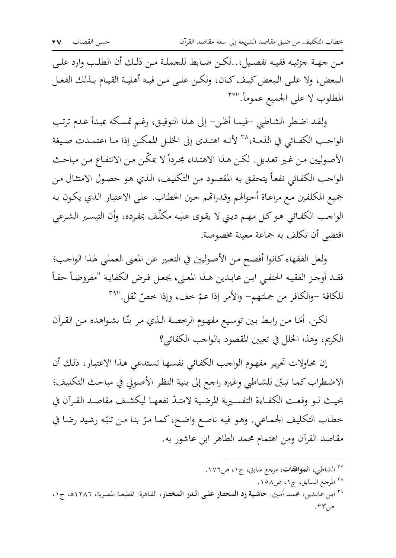مـن جهـة جزئيـه ففيـه تفصـيل، . لكـن ضـابط للحملـة مـن ذلـك أن الطلـب وارد علـي البعض، ولا على البعض كيف كـان، ولكـن علـى مـن فيـه أهليـة القيـام بـذلك الفعـل المطلوب لا على الجميع عموماً."<sup>۳۷</sup>

ولقد اضطر الشاطبي –فيما أظن– إلى هذا التوفيق، رغم تمسكه بمبدأ عدم ترتب الواجب الكفائي في الذمـة، ٣٨ لأنـه اهتـدي إلى الخلـل الممكـن إذا مـا اعتمـدت صـيغة الأصوليين من غير تعديل. لكن هذا الاهتداء مجرداً لا يمكّن من الانتفاع من مباحث الواحب الكفائي نفعاً يتحقق به المقصود من التكليف، الذي هو حصول الامتثال من جميع المكلفين مع مراعاة أحوالهم وقدراتهم حين الخطاب. على الاعتبار الذي يكون به الواجب الكفائي هو كل مهم ديني لا يقوى عليه مكلّف بمفرده، وأن التيسير الشرعي اقتضى أن تكلف به جماعة معينة مخصوصة.

ولعل الفقهاء كانوا أفصح من الأصوليين في التعبير عن المعنى العملي لهذا الواحب؛ فقد أوجز الفقيه الحنفيي ابن عابدين هـذا المعنى، بجعل فـرض الكفايـة "مفروضـاً حقـاً للكافة –والكافر من جملتهم– والأمر إذا عمّ خف، وإذا خصّ ثقل."أ"

لكن. أمَا من رابط بين توسيع مفهوم الرحصة الذي مر بنّا بشواهده من القرآن الكريم، وهذا الخلل في تعيين المقصود بالواحب الكفائي؟

إن محاولات تحرير مفهوم الواجب الكفائي نفسها تستدعى هذا الاعتبار، ذلك أن الاضطراب كما تبيّن للشاطبي وغيره راجع إلى بنية النظر الأصولي في مباحث التكليف؛ بحيث لـو وقعـت الكفـاءة التفسـيرية المرضـية لامتـدّ نفعهـا ليكشـف مقاصـد القـرآن في خطاب التكليف الجماعي. وهو فيه ناصع واضح، كما مرّ بنا من تنبّه رشيد رضا في مقاصد القرآن ومن اهتمام محمد الطاهر ابن عاشور به.

- <sup>۳۷</sup> الشاطبي، **الموافقات**، مرحع سابق، ج۱، ص١٧٦.
	- <sup>۳۸</sup> المرجع السابق، ج۱، ص۵۸.
- <sup>٣٩</sup> ابن عابدين، محمد أمين. حا**شية رد المحتـار علـي الـدر المختـار**، القـاهرة: المطبعة المصرية، ١٢٨٦ه، ج١، ص۳۳. پ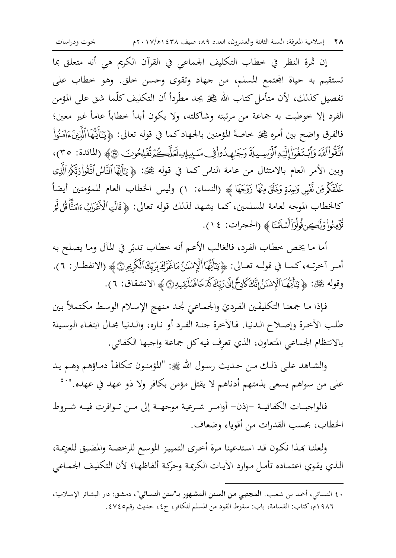٢٨ إسلامية المعرفة، السنة الثالثة والعشرون، العدد ٨٩، صيف ١٤٣٨ه/١٠١٧م

إن ثمرة النظر في خطاب التكليف الجماعي في القرآن الكريم هي أنه متعلق بما تستقيم به حياة المحتمع المسلم، من جهاد وتقوى وحسن خلق. وهو خطاب على تفصيل كذلك، لأن متأمل كتاب الله ﷺ يجد مطَّرداً أن التكليف كلَّما شق على المؤمن الفرد إلا خوطبت به جماعة من مرتبته وشاكلته، ولا يكون أبداً خطاباً عاماً غير معين؛ فالفرق واضح بين أمره ﷺ خاصةَ المؤمنين بالجهاد كما في قوله تعالى: ﴿يَتَأَيُّهَاۚالَّذِينَءَامَنُواْ أَتَّقُواْ ٱللَّهَ وَأَبْتَغُوٓاْ إِلَيۡهِ ٱلۡوَسِيلَةَ وَجَرٰمِيدُواْ فِي سَبِيلِهِۦ لَعَلَّكُمۡ تُفۡلِحُوتَ ۞﴾ (المائدة: ٣٥)، وبين الأمر العام بالامتثال من عامة الناس كما في قوله ﷺ: ﴿ يَتَأَيُّهَا ٱلنَّاسُ ٱتَّقُواْ رَبِّكُمُ ٱلَّذِى خَلَقَكُمْ مِّن نَّفْسٍ وَلِحِدَةٍ وَخَلَقَ مِنْهَا زَوْجَهَا ﴾ (النساء: ١) وليس الخطاب العام للمؤمنين أيضاً كالخطاب الموجه لعامة المسلمين، كما يشهد لذلك قوله تعالى: ﴿قَالَتِٱلْأَعْرَابُ ءَامَنَّأْقُلٌ لَّمَر تُؤَمِنُواْ وَلَكِن قُولُوَاْأَسْلَمْنَا ﴾ (الحجرات: ٤ ١).

أما ما يخص خطاب الفرد، فالغالب الأعم أنه خطاب تدبّر في المآل وما يصلح به أمـر آخرتـه، كمـا في قولـه تعـالى: ﴿ يَتَأَيُّهَا ٱلْإِنسَـٰنُ مَاغَزَكَ بِرَيِّكَ ٱلْكَرِيْمِ۞﴾ (الانفطـار: ٦). وقوله ﷺ: ﴿ يَتَأَيُّهُـٰٓالۡلَّإِنِّسَٰنُۚ إِنَّكَ كَامِعٌۚ إِلَىٰ رَبِّكَ كَدَّحَافَمُلَاقِيهِ ۞ ﴾ الانشقاق: ٦).

فإذا ما جمعنا التكليفَين الفرديَ والجماعيَ نحد منهج الإسلام الوسط مكتملاً بين طلب الآخرة وإصلاح الدنيا. فـالآخرة جنـة الفـرد أو نـاره، والـدنيا مجـال ابتغـاء الوسـيلة بالانتظام الجماعي المتعاون، الذي تعرِف فيه كل جماعة واجبها الكفائي.

والشاهد على ذلك من حديث رسول الله ﷺ: "المؤمنون تتكافأ دماؤهم وهم يد على من سواهم يسعى بذمتهم أدناهم لا يقتل مؤمن بكافر ولا ذو عهد في عهده."`\*

فالواجبــات الكفائيــة –إذن– أوامــر شــرعية موجـهــة إلى مــن تــوافرت فيــه شــروط الخطاب، بحسب القدرات من أقوياء وضعاف.

ولعلنا بحذا نكون قد استدعينا مرة أخرى التمييز الموسع للرحصة والمضيق للعزيمة، الذي يقوي اعتماده تأمل موارد الآيات الكريمة وحركة ألفاظها؛ لأن التكليف الجماعي

. ٤ النسائي، أحمد بن شعيب. ا**لمجتبي من السنن المشهور بـ"سنن النسائي"**، دمشق: دار البشائر الإسلامية، ١٩٨٦م، كتاب: القسامة، باب: سقوط القود من المسلم للكافر، ج٤، حديث رقم٤٧٤٥.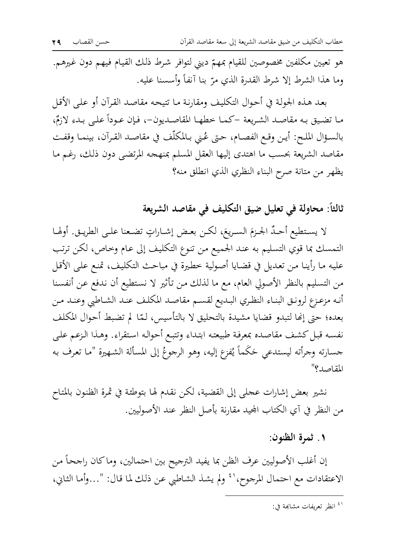هو تعيين مكلفين مخصوصين للقيام بمهمّ ديني لتوافر شرط ذلك القيام فيهم دون غيرهم. وما هذا الشرط إلا شرط القدرة الذي مرّ بنا آنفاً وأسسنا عليه.

بعد هذه الجولة في أحوال التكليف ومقارنة ما تتيحه مقاصد القرآن أو على الأقل ما تضيق به مقاصد الشريعة –كما خطها المقاصديون-، فإن عـوداً علـى بـدء لازمٌ، بالسـؤال الملـح: أيـن وقـع الفصـام، حـتي عُـني بـالمكلَّف في مقاصـد القـرآن، بينمـا وقفـت مقاصد الشريعة بحسب ما اهتدى إليها العقل المسلم بمنهجه المرتضى دون ذلك، رغم ما يظهر من متانة صرح البناء النظري الذي انطلق منه؟

ثالثاً: محاولة في تعليل ضيق التكليف في مقاصد الشريعة

لا يستطيع أحدٌ الجـزمَ السـريعَ، لكـن بعـض إشـاراتٍ تضـعنا علـى الطريـق. أولهـا التمسك بما قوي التسليم به عند الجميع من تنوع التكليف إلى عام وحاص، لكن ترتب عليه ما رأينا من تعديل في قضايا أصولية خطيرة في مباحث التكليف، تمنع على الأقل من التسليم بالنظر الأصولي العام، مع ما لذلك من تأثير لا نستطيع أن ندفع عن أنفسنا أنه مزعزع لرونق البناء النظري البديع لقسم مقاصد المكلف عند الشاطبي وعند من بعده؛ حتى إنَّها لتبدو قضايا مشيدة بالتحليق لا بالتأسيس، لمَّا لم تضبط أحوال المكلف نفسه قبل كشف مقاصده بمعرفة طبيعته ابتداء وتتبع أحواله استقراء. وهذا الزعم على جسارته وجرأته ليستدعي حَكَماً يُفزع إليه، وهو الرجوعُ إلى المسألة الشهيرة "ما تعرف به المقاصد؟"

نشير بعض إشارات عجلى إلى القضية، لكن نقدم لها بتوطئة في ثمرة الظنون بالمتاح من النظر في آي الكتاب المجيد مقارنة بأصل النظر عند الأصوليين.

## ١. ثمرة الظنون:

إن أغلب الأصوليين عرف الظن بما يفيد الترجيح بين احتمالين، وماكان راجحاً من الاعتقادات مع احتمال المرجوح،' ۚ ولم يشذ الشاطبي عن ذلك لما قال: "…وأما الثاني،

<sup>&</sup>lt;sup>(٤</sup> انظر تعربفات مشابهة في: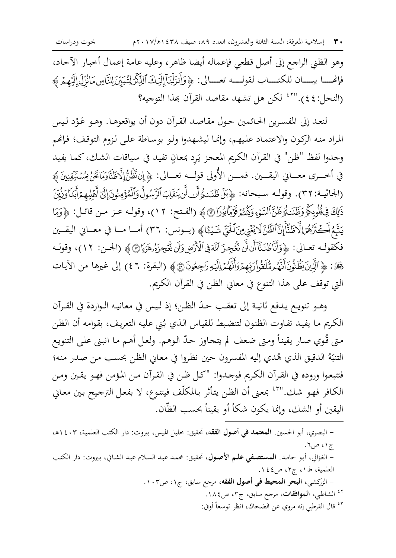وهو الظني الراجع إلى أصل قطعي فإعماله أيضا ظاهر، وعليه عامة إعمال أخبار الآحاد، فإنحسا بيسان للكتساب لقولسه تعسالى: ﴿وَأَنزَلْنَآ إِلَيْكَ ٱلذِّكْرِلِتُبَيِّنَ لِلنَّاسِمَانُزِّلَ إِلَيْهِمْ ﴾ (النحل:٤٤)."<sup>٤٢</sup> لكن هل تشهد مقاصد القرآن بهذا التوجيه؟

لنعد إلى المفسرين الحائمين حول مقاصد القرآن دون أن يواقعوهـا. وهـو عَـوْد ليس المراد منه الركون والاعتماد عليهم، وإنما ليشهدوا ولو بوساطة على لزوم التوقف؛ فإنهم وجدوا لفظ "ظن" في القرآن الكريم المعجز يَرد بمعانِ تفيد في سياقات الشك، كما يفيد في أخـــرى معـــاني اليقـــين. فمــــن الأُولى قولـــه تعـــالى: ﴿ إِنفَظُنَّ إِلَّاظَنَّاوَمَانَحْنُ مِسْتَقِينِينَ ﴾ (الجانيـة: ٣٢). وقولـه سـبحانه: ﴿بَلْ ظَنَنتُوَأَن لَّن يَنقَلِبَ ٱلرَّسُولُ وَٱلْمُؤْمِنُونَ إِلَىٰٓ أَهْلِيهِمْ أَبَدَاوَزُيِّنَ ذَلِكَ فِيقُلُوبِكُمُ وَظَنَنَتُمَوَظَنَّ ٱلسَّوْءِ وَكُنُتُمْ قَوْمًالِوُرَانَ ﴾ (الفتح: ١٢)، وقولـه عز مـن قائـل: ﴿ وَمَا يَتَّبِعُ أَكۡتَٰزُهُمۡٓ اِلۡاَظَنَّأَإِنَّٱلظَّنَّ لَا يُغۡنِىسۡ َلۡـٰٓفِّيِّ شَيۡـَٔٓـَ﴾ (يــونس: ٣٦) أمــا مــا في معــاني اليقــين فكقولـه تعـالى: ﴿وَأَنَّاظَنَنَّآأَنلَنَّ نُعُجِزَلَالَهَ فِى ٱلْأَرْضِ وَلَن نُعۡجِزَهُۥهَزَايَا۞﴾ (الحسن: ١٢)، وقولـه حَجَّكِ: ﴿ ٱلَّذِينَ يَظُنُّونَأَنَّهُم مُّلَقُوٰٓارَبِّهِمْوَالَّهُمُ إِلَيْهِ رَجِعُونَ ۞﴾ (البقرة: ٤٦) إلى غيرها من الآيات التي توقف على هذا التنوع في معاني الظن في القرآن الكريم.

وهـو تنويـع يـدفع ثانيـة إلى تعقـب حـدّ الظـن؛ إذ لـيس في معانيـه الـواردة في القـرآن الكريم مـا يفيـد تفـاوت الظنون لتنضبط للقيـاس الـذي بُني عـليه التعريف، بقوامـه أن الظـن متى قُوي صارٍ يقيناً ومتى ضعف لم يتحاوز حدّ الوهم. ولعل أهـم ما انبني على التنويع التنبَّهُ الدقيق الذي هُدي إليه المفسرون حين نظروا في معاني الظن بحسب من صدر منه؛ فتتبعـوا وروده في القـرآن الكـريم فوجـدوا: "كـل ظـن في القـرآن مـن المـؤمن فهـو يقـين ومـن الكافر فهو شك.''٢ ُ بمعنى أن الظن يتأثر بالمكلَّف فيتنوع، لا بفعل الترجيح بين معايي اليقين أو الشك، وإنما يكون شكاً أو يقيناً بحسب الظّان.

- البصري، أبو الحسين. المعتمد في أصول الفقه، تحقيق: حليل الميس، بيروت: دار الكتب العلمية، ٤٠٣ ه. ج۱، ص٦. - الغزالي، أبو حامد. ا**لمستصفى علم الأصول**، تحقيق: محمد عبد السلام عبد الشافي، بيروت: دار الكتب العلمية، ط١، ج٢، ص٤٤. - الزركشي، البحر المحيط في أصول الفقه، مرجع سابق، ج١، ص١٠٣. <sup>٤٢</sup> الشاطبي، **الموافقات**، مرجع سابق، ج٣، ص١٨٤. <sup>٤٣</sup> قال القرطبي إنه مروى عن الضحاك، انظر توسعاً أوفي: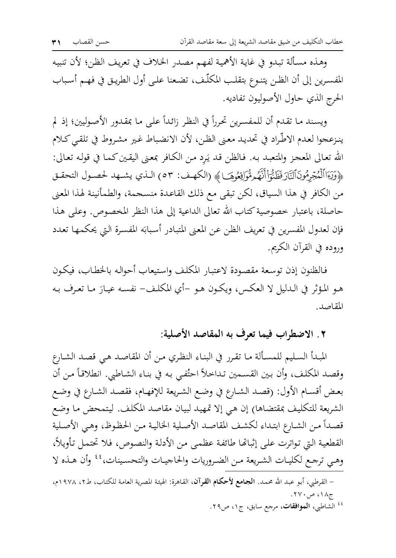وهذه مسألة تبدو في غاية الأهمية لفهم مصدر الخلاف في تعريف الظن؛ لأن تنبيه المفسرين إلى أن الظـن يتنـوع بتقلـب المكلَّـف، تضـعنا علـي أول الطريـق في فهـم أسـباب الحرج الذي حاول الأصوليون تفاديه.

ويسند ما تقدم أن للمفسرين تحرراً في النظر زائداً على ما بمقدور الأصوليين؛ إذ لم ينزعجوا لعدم الاطَّراد في تحديد معنى الظن، لأن الانضباط غير مشروط في تلقى كلام الله تعالى المعجز والمتعبد به. فالظن قد يَرِد من الكافر بمعنى اليقين كما في قوله تعالى: ﴿وَيَـٓاَاٱلْمُجۡرِمُونَٱلنَّارَفَظَنُّوَاۚأَنَّهُمْ مُّوَافِعُوهَـا﴾ (الكهف: ٥٣) الـذي يشـهد لحصـول التحقـق من الكافر في هذا السياق، لكن تبقى مع ذلك القاعدة منسحمة، والطمأنينة لهذا المعنى حاصلة، باعتبار خصوصية كتاب الله تعالى الداعية إلى هذا النظر المخصوص. وعلى هذا فإن لعدول المفسرين في تعريف الظن عن المعنى المتبادر أسبابَه المفسرة التي يحكمها تعدد وروده في القرآن الكريم.

فالظنون إذن توسعة مقصودة لاعتبار المكلف واستيعاب أحواله بالخطاب، فيكون هـو المؤثَّر في الـدليل لا العكس، ويكـون هـو –أي المكلـف- نفسـه عيـارَ مـا تعـرف بـه المقاصد.

## ٢ . الاضطراب فيما تعرف به المقاصد الأصلية:

المبدأ السليم للمسألة ما تقرر في البناء النظري من أن المقاصد هي قصد الشارع وقصد المكلف، وأن بين القسـمين تـداخلاً احتُفـي بـه في بنـاء الشـاطبي. انطلاقـاً مـن أن بعض أقسـام الأول: (قصـد الشـارع في وضـع الشـريعة للإفهـام، فقصـد الشـارع في وضـع الشريعة للتكليف بمقتضاها) إن هي إلا تمهيد لبيان مقاصد المكلف. ليتمحض ما وضع قصداً من الشارع ابتداء لكشف المقاصد الأصلية الخالية من الحظوظ، وهي الأصلية القطعية التي تواترت على إثباتها طائفة عظمى من الأدلة والنصوص، فلا تحتمل تأويلاً، وهيي ترجع لكليـات الشـريعة مـن الضـروريات والحاجيـات والتحسـينات، ُ ۚ وأن هـذه لا

- القرطبي، أبو عبد الله محمد. ا**لجامع لأحكام القرآن**، القاهرة: الهيئة المصرية العامة للكتاب، ط٢، ١٩٧٨م، ج۱۸، ص۲۷۰.
	- <sup>٤٤</sup> الشاطبي، ا**لموافقات**، مرجع سابق، ج٤، ص٢٩.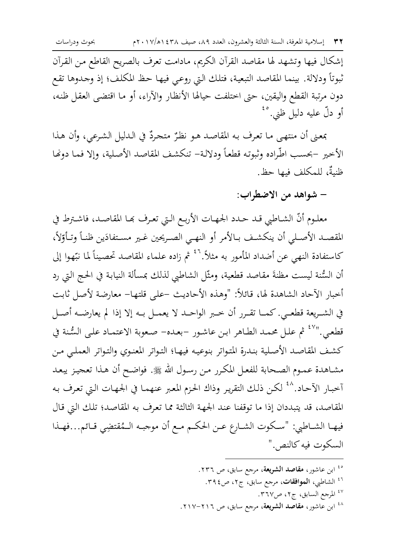إشكال فيها وتشهد لها مقاصد القرآن الكريم، مادامت تعرف بالصريح القاطع من القرآن ثبوتاً ودلالة. بينما المقاصد التبعية، فتلك التي روعي فيها حظ المكلف؛ إذ وجدوها تقع دون مرتبة القطع واليقين، حتى اختلفت حيالها الأنظار والآراء، أو ما اقتضى العقل ظنه، أو دلّ عليه دليل ظني.<sup>٤٥</sup>

بمعنى أن منتهى ما تعرف به المقاصد هو نظرٌ متحردٌ في الدليل الشرعي، وأن هذا الأخير –بحسب اطّراده وثبوته قطعاً ودلالة– تنكشف المقاصد الأصلية، وإلا فما دونها ظنىةٌ، للمكلف فيها حظ.

– شواهد من الاضطراب:

معلـوم أنّ الشـاطبي قـد حـدد الجهـات الأربـع الـتي تعـرف بَمـا المقاصـد، فاشـترط في المقصـد الأصـلي أن ينكشـف بـالأمر أو النهـي الصـريحين غـير مسـتفادَين ظنـاً وتـأوّلاً، كاستفادة النهي عن أضداد المأمور به مثلاً.'`<sup>٤ ثم</sup> زاده علماء المقاصد تحصيناً لما نتِّهوا إلى أن السُّنة ليست مظنةَ مقاصد قطعية، ومثَّل الشاطيي لذلك بمسألة النيابة في الحج التي رد أخبار الآحاد الشاهدة لها، قائلاً: "وهذه الأحاديث –على قلتها– معارضة لأصل ثابت في الشريعة قطعي. كمـا تقـرر أن خـبر الواحـد لا يعمـل بـه إلا إذا لم يعارضـه أصـل قطعي.''<sup>٤٧</sup> ثم علل محمد الطاهر ابن عاشور -بعده- صعوبة الاعتماد على السُّنة في كشف المقاصد الأصلية بندرة المتواتر بنوعيه فيها؛ التواتر المعنوي والتواتر العملي من مشـاهدة عمـوم الصـحابة للفعـل المكرر مـن رسـول الله ﷺ. فواضـح أن هـذا تعجيز يبعـد أخبار الأحاد.<sup>^٤</sup> لكن ذلك التقرير وذاك الحزم المعبر عنهما في الجهات التي تعرف به المقاصد، قد يتبددان إذا ما توقفنا عند الجهة الثالثة مما تعرف به المقاصد؛ تلك التي قال فيهـا الشـاطبي: "سـكوت الشـارع عـن الحكـم مـع أن موجبـه الـمُقتضِي قـائم...فهـذا السكوت فيه كالنص."

> <sup>ه؛</sup> ابن عاشور، **مقاصد الشريعة**، مرجع سابق، ص ٢٣٦. <sup>٤٦</sup> الشاطبي، **الموافقات**، مرجع سابق، ج٢، ص٤٦. <sup>٤٧</sup> المرجع السابق، ج٢، ص٣٦٧. <sup>٤٨</sup> ابن عاشور، **مقاصد الشريعة**، مرجع سابق، ص ٢١٦–٢١٧.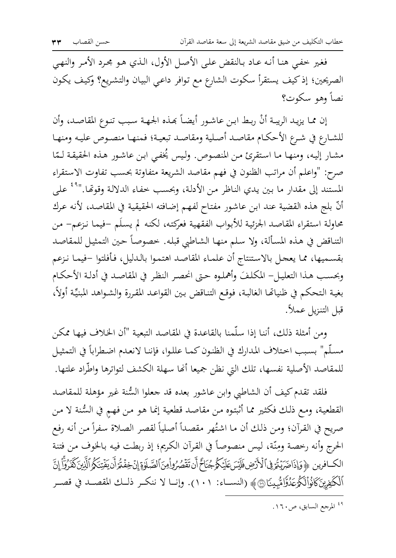فغير خفيي هنا أنه عـاد بـالنقض علىي الأصـل الأول، الـذي هـو مجـرد الأمـر والنهـي الصريحين؛ إذ كيف يستقرأ سكوت الشارع مع توافر داعيي البيان والتشريع؟ وكيف يكون نصأ وهو سكوت؟

إن مما يزيد الريبة أنْ ربط ابن عاشور أيضاً بَمذه الجهة سبب تنوع المقاصد، وأن للشارع في شرع الأحكام مقاصد أصلية ومقاصد تبعية؛ فمنهـا منصـوص عليـه ومنهـا مشار إليه، ومنها ما استقرئ من المنصوص. وليس يُخفى ابن عاشور هذه الحقيقة لـمّا صرح: "واعلم أن مراتب الظنون في فهم مقاصد الشريعة متفاوتة بحسب تفاوت الاستقراء المستند إلى مقدار ما بين يدي الناظر من الأدلة، وبحسب خفاء الدلالة وقوتَّفا.''<sup>٤٩</sup> على أنَّ بلج هذه القضية عند ابن عاشور مفتاح لفهم إضافته الحقيقية في المقاصد، لأنه عرك محاولة استقراء المقاصد الجزئية للأبواب الفقهية فعركته، لكنه لم يسلَم –فيما نزعم– من التناقض في هذه المسألة، ولا سلم منها الشاطبي قبله. خصوصاً حين التمثيل للمقاصد بقسميها، مما يعجل بالاستنتاج أن علماء المقاصد اهتموا بالدليل، فأفلتوا –فيما نزعم وبحسب هذا التعليل– المكلفَ وأهملوه حتى انحصر النظر في المقاصد في أدلة الأحكام بغية التحكم في ظنياتها الغالبة، فوقع التناقض بين القواعد المقررة والشواهد المبنيِّة أولاً، قبل التنزيل عملاً.

ومن أمثلة ذلك، أننا إذا سلَّمنا بالقاعدة في المقاصد التبعية "أن الخلاف فيها ممكن مسلَّم" بسبب احتلاف المدارك في الظنون كمـا عللوا، فإننا لانعدم اضطراباً في التمثيل للمقاصد الأصلية نفسها، تلك التي نظن جميعا أنها سهلة الكشف لتواترها واطّراد علتها.

فلقد تقدم كيف أن الشاطبي وابن عاشور بعده قد جعلوا السُّنة غير مؤهلة للمقاصد القطعية، ومع ذلك فكثير مما أثبتوه من مقاصد قطعية إنما هو من فهم في السُّنة لا من صريح في القرآن؛ ومن ذلك أن ما اشتُهر مقصداً أصلياً لقصر الصلاة سفراً من أنه رفع الحرج وأنه رخصة ومِنّة، ليس منصوصاً في القرآن الكريم؛ إذ ربطت فيه بالخوف من فتنة الكافرين ﴿ وَإِذَاضَرَيْتُمْ فِى ٱلْأَرْضِ فَلَيْسَ عَلَيْكُمْ جُنَاحٌ أَن تَقْصُرُواْمِنَ ٱلصَّلَوٰةِ إِنْ خِفْتُرَ أَن يَفْتِنَكُمُ ٱلَّذِينَ كَفَرُوَّأْ إِنَّ أَلْكَفِينَكَانُواْلَكُوعَدُوَّامُّبِينَا۞﴾ (النسـاء: ١٠١). وإنــا لا ننكــر ذلـك المقصــد في قصــر

<sup>&</sup>lt;sup>٤٩</sup> المرجع السابق، ص٢٦٠.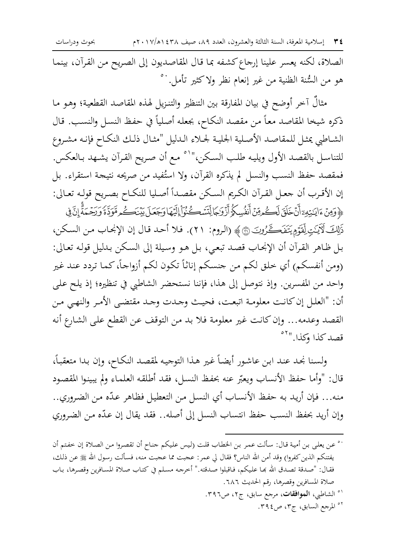٣٤ إسلامية المعرفة، السنة الثالثة والعشرون، العدد ٨٩، صيف ١٤٣٨ه/١٠١٧م

بحوث ودراسات

الصلاة، لكنه يعسر علينا إرجاع كشفه بما قال المقاصديون إلى الصريح من القرآن، بينما هو من السُّنة الظنية من غير إنعام نظر ولاكثير تأمل.<sup>..</sup>°

مثالٌ آخر أوضح في بيان المفارقة بين التنظير والتنزيل لهذه المقاصد القطعية؛ وهو ما ذكره شيخا المقاصد معاً من مقصد النكاح، بجعله أصلياً في حفظ النسل والنسب. قال الشاطبي يمثل للمقاصد الأصلية الجلية لجلاء الدليل "مثال ذلك النكاح فإنه مشروع للتناسل بالقصد الأول ويليه طلب السكن،'' `` مع أن صريح القرآن يشهد بـالعكس. فمقصد حفظ النسب والنسل لم يذكره القرآن، ولا استُفيد من صريحه نتيجة استقراء. بل إن الأقرب أن جعل القرآن الكريم السكن مقصداً أصليا للنكاح بصريح قولـه تعـالى: ﴾ وَمِنۡ ءَايَنۡتِهِۦٓأَنَّ خَلَقَ لَكُمۡمِّنۡ أَنفُسِكُمُۚ أَزْوَلَجَالِّلَّسَّڪُنُوۡۤاٰ إِلَيۡهَا وَجَعَلَ بَيۡنَكُم مَّوَدَّةً وَرَحۡـمَةًۚ إِنَّ فِى ذَلِكَ لَآيَـٰتِ لِقَوْمٍ يَتَفَكَّـنُونَ ۞﴾ (الروم: ٢١). فلا أحد قال إن الإنجاب من السكن، بل ظـاهر القـرآن أن الإنجـاب قصـد تبعـي، بـل هـو وسـيلة إلى السـكن بـدليل قولـه تعـالى: (ومن أنفسكم) أي خلق لكم من جنسكم إناثاً تكون لكم أزواجاً، كما تردد عند غير واحد من المفسرين. وإذ نتوصل إلى هذا، فإننا نستحضر الشاطبي في تنظيره؛ إذ يلح علي أن: "العلـل إن كانـت معلومـة اتبعـت، فحيـث وجـدت وجـد مقتضـى الأمـر والنهـى مـن القصد وعدمه... وإن كانت غير معلومة فلا بد من التوقف عن القطع على الشارع أنه قصدكذا وكذا." "

ولسنا نحد عند ابن عاشور أيضاً غير هذا التوجيه لمقصد النكاح، وإن بدا متعقباً، قال: "وأما حفظ الأنساب ويعبّر عنه بحفظ النسل، فقد أطلقه العلماء ولم يبينوا المقصود منه... فإن أريد به حفظ الأنساب أي النسل من التعطيل فظاهر عدّه من الضروري.. وإن أريد بحفظ النسب حفظ انتساب النسل إلى أصله.. فقد يقال إن عدّه من الضروري

- `° عن يعلي بن أمية قال: سألت عمر بن الخطاب قلت (ليس عليكم جناح أن تقصروا من الصلاة إن خفتم أن يفتنكم الذين كفروا) وقد أمن الله الناس؟ فقال لي عمر: عجبت مما عجبت منه، فسألت رسول الله ﷺ عن ذلك، فقال: "صدقة تصدق الله بحا عليكم، فاقبلوا صدقته." أخرجه مسلم في كتاب صلاة المسافرين وقصرها، باب صلاة المسافرين وقصرها، رقم الحديث ٦٨٦.
	- <sup>۰۱</sup> الشاطبي، **الموافقات**، مرحع سابق، ج۲، ص۳۹٦. <sup>07</sup> المرجع السابق، ج٣، ص٤٢٩.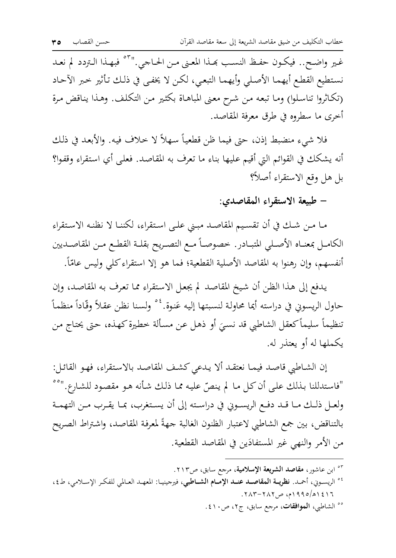غير واضح.. فيكون حفظ النسب بحذا المعنى من الحاجي.''<sup>٥٣</sup> فبهذا التردد لم نعد نستطيع القطع أيهما الأصلي وأيهما التبعي، لكن لا يخفي في ذلك تأثير خبر الآحاد (تكاثروا تناسلوا) وما تبعه من شرح معنى المباهاة بكثير من التكلف. وهذا يناقض مرة أخرى ما سطروه في طرق معرفة المقاصد.

فلا شيءِ منضبط إذن، حتى فيما ظن قطعياً سهلاً لا حلاف فيه. والأبعد في ذلك أنه يشكك في القوائم التي أقيم عليها بناء ما تعرف به المقاصد. فعلى أي استقراء وقفوا؟ بل هل وقع الاستقراء أصلاً؟

– طبيعة الاستقراء المقاصدي:

مـا مـن شـك في أن تقسـيم المقاصـد مبـني علـى اسـتقراء، لكننـا لا نظنـه الاسـتقراء الكامـل بمعنــاه الأصــلي المتبــادر . خصوصــاً مــع التصــريح بقلــة القطــع مــن المقاصــديين أنفسهم، وإن رهنوا به المقاصد الأصلية القطعية؛ فما هو إلا استقراء كلى وليس عامّاً.

يدفع إلى هذا الظن أن شيخ المقاصد لم يجعل الاستقراء مما تعرف به المقاصد، وإن حاول الريسوني في دراسته أيما محاولة لنسبتها إليه عَنوة.<sup>٤٠</sup> ولسنا نظن عقلاً وقّاداً منظماً تنظيماً سليماً كعقل الشاطبي قد نسبَ أو ذهل عن مسألة خطيرة كهذه، حتى يحتاج من يكملها له أو يعتذر له.

إن الشـاطبي قاصد فيمـا نعتقـد ألا يـدعى كشف المقاصد بالاستقراء، فهـو القائـل: "فاستدللنا بذلك على أن كل ما لم ينصّ عليه مما ذلك شأنه هو مقصود للشارع."°° ولعـل ذلـك مـا قـد دفـع الريسـوني في دراسـته إلى أن يسـتغرب، بمـا يقـرب مـن التهمـة بالتناقض، بين جمع الشاطبي لاعتبار الظنون الغالبة جهةً لمعرفة المقاصد، واشتراط الصريح من الأمر والنهي غير المستفادَين في المقاصد القطعية.

- <sup>05</sup> ابن عاشور، **مقاصد الشريعة الإسلامية**، مرجع سابق، ص٢١٣.
- <sup>04</sup> الريسوني، أحمـد. **نظريــة المقاصــد عنــد الإمــام الشــاطب**ي، فيرجينيـا: المعهـد العـالمي للفكـر الإســلامي، ط٤،  $.7\lambda$ ۳ -  $7\lambda$ ۲ ههر ۱۹۹۰م، ص۲۸۲ - ۲۸۳.
	- °° الشاطبي، **الموافقات**، مرجع سابق، ج٢، ص١٠.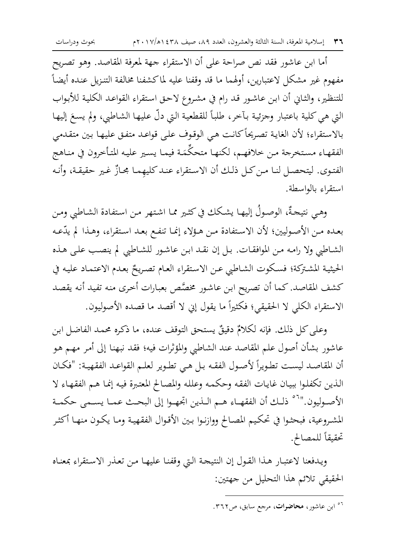أما ابن عاشور فقد نص صراحة على أن الاستقراء جهة لمعرفة المقاصد. وهو تصريح مفهوم غير مشكل لاعتبارين، أولهما ما قد وقفنا عليه لماكشفنا مخالفة التنزيل عنده أيضاً للتنظير، والثـاني أن ابن عـاشـور قـد رام في مشـروع لاحـق استقراء القواعـد الكليـة للأبـواب التي هي كلية باعتبار وجزئية بآخر، طلباً للقطعية التي دلَّ عليها الشاطبي، ولم يسعَ إليها بالاستقراء؛ لأن الغاية تصريحاً كانت هي الوقوف على قواعد متفق عليها بين متقدمي الفقهاء مستخرجة من خلافهم، لكنها متحكِّمَة فيما يسير عليه المتأخرون في مناهج الفتوى. ليتحصل لنـا مـن كـل ذلـك أن الاستقراء عنـد كليهمـا مجـازٌ غـير حقيقـة، وأنـه استقراء بالواسطة.

وهي نتيجةٌ، الوصولُ إليها يشكك في كثير مما اشتهر من استفادة الشاطبي ومن بعده من الأصوليين؛ لأن الاستفادة من هؤلاء إنما تنفع بعد استقراء، وهذا لم يدّعه الشاطبي ولا رامه من الموافقات. بل إن نقد ابن عاشور للشاطبي لم ينصب على هذه الحيثية المشتركة؛ فسكوت الشاطبي عـن الاستقراء العـام تصريحٌ بعـدم الاعتمـاد عليـه في كشف المقاصد. كما أن تصريح ابن عاشور مخصَّص بعبارات أخرى منه تفيد أنه يقصد الاستقراء الكلَّى لا الحقيقي؛ فكثيراً ما يقول إني لا أقصد ما قصده الأصوليون.

وعلى كل ذلك. فإنه لكلامٌ دقيقٌ يستحق التوقف عنده، ما ذكره محمد الفاضل ابن عاشور بشأن أصول علم المقاصد عند الشاطبي والمؤثرات فيه؛ فقد نبهنا إلى أمر مهم هو أن المقاصد ليست تطويراً لأصول الفقه بـل هـي تطوير لعلـم القواعـد الفقهيـة: "فكـان الذين تكفلوا ببيان غايات الفقه وحكمه وعلله والمصالح المعتبرة فيه إنما هم الفقهاء لا الأصـوليون.''`` ذلـك أن الفقهـاء هـم الـذين اتجهـوا إلى البحـث عمـا يسـمي حكمـة المشروعية، فبحثوا في تحكيم المصالح ووازنوا بين الأقوال الفقهية وما يكون منها أكثر تحقيقاً للمصالح.

ويدفعنا لاعتبار هذا القول إن النتيحة التي وقفنا عليها من تعذر الاستقراء بمعناه الحقيقي تلائم هذا التحليل من جهتين:

<sup>&</sup>lt;sup>07</sup> ابن عاشور، **محاضرات**، مرجع سابق، ص۲٦۲.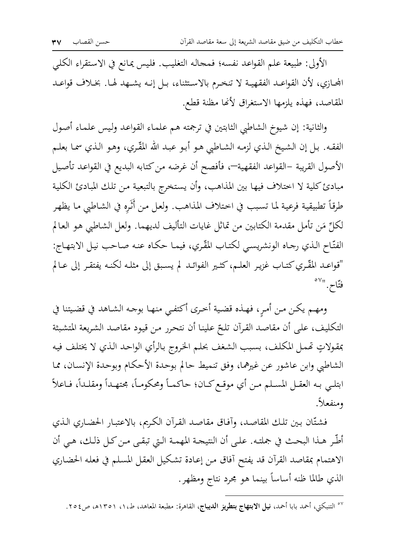الأولى: طبيعة علم القواعد نفسه؛ فمحاله التغليب. فليس يمانع في الاستقراء الكلبي المحازي، لأن القواعـد الفقهيـة لا تنخـرم بالاسـتثناء، بـل إنـه يشـهد لهـا. بخـلاف قواعـد المقاصد، فهذه يلزمها الاستغراق لأنَّها مظنة قطع.

والثانية: إن شيوخ الشاطبي الثابتين في ترجمته هم علماء القواعد وليس علماء أصول الفقـه. بـل إن الشيخ الـذي لزمـه الشـاطبي هـو أبـو عبـد الله المقَّـري، وهـو الـذي سمـا بعلـم الأصول القريبة –القواعد الفقهية—، فأفصح أن غرضه من كتابه البديع في القواعد تأصيل مبادئ كلية لا اختلاف فيها بين المذاهب، وأن يستخرج بالتبعية من تلك المبادئ الكلية طرقاً تطبيقية فرعية لما تسبب في اختلاف المذاهب. ولعل من أُثَرِه في الشاطبي ما يظهر لكلِّ مَن تأملٍ مقدمة الكتابين من تماثلٍ غايات التأليف لديهما. ولعل الشاطبي هو العالم الفتَّاح الذي رجاه الونشريسي لكتاب المُقْري، فيمـا حكـاه عنـه صـاحب نيـل الابتهـاج: "قواعـد المُقَّـري كتـاب غزيـر العلـم، كثـير الفوائـد لم يسـبق إلى مثلـه لكنـه يفتقـر إلى عـالم فتّاح. "``

ومهـم يكـن مـن أمـر، فهـذه قضية أخـري أكتفـي منهـا بوجـه الشـاهد في قضـيتنا في التكليف، على أن مقاصد القرآن تلحّ علينا أن نتحرر من قيود مقاصد الشريعة المتشبثة بمقولاتٍ تحمل المكلف، بسبب الشغف بحلم الخروج بالرأي الواحد الذي لا يختلف فيه الشاطبي وابن عاشور عن غيرهما، وفق تنميط حالم بوحدة الأحكام وبوحدة الإنسان، مما ابتلـي بـه العقـل المسـلم مـن أي موقـع كـان؛ حاكمـاً ومحكومـاً، مجتهـداً ومقلـداً، فـاعلاً ومنفعلاً.

فشتّان بين تلك المقاصد، وآفاق مقاصد القرآن الكريم، بالاعتبار الحضاري الـذي أطَّر هـذا البحـث في جملتـه. علـي أن النتيجـة المهمـة الـتي تبقـي مـن كـل ذلـك، هـي أن الاهتمام بمقاصد القرآن قد يفتح أفاق من إعادة تشكيل العقل المسلم في فعله الحضاري الذي طالما ظنه أساساً بينما هو مجرد نتاج ومظهر.

<sup>°°</sup> التنبكتي، أحمد بابا أحمد، <mark>نيل الابتهاج بتطريز الديباج</mark>، القاهرة: مطبعة المعاهد، ط،١، ١٣٥١ه، ص٤٥٤.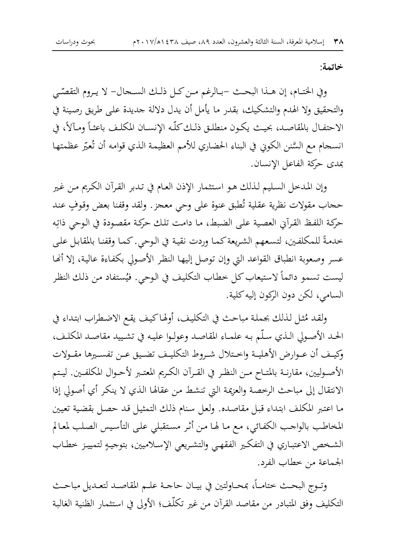خاتمة:

وفي الختـام، إن هـذا البحـث –بـالرغم مـن كـل ذلـك الســجال- لا يـروم التقصّـي والتحقيق ولا الهدم والتشكيك، بقدر ما يأمل أن يدل دلالة جديدة على طريق رصينة في الاحتفـال بالمقاصـد، بحيـث يكـون منطلـق ذلـك كلُّـه الإنســان المكلـف باعثـاً ومـآلاً، في انسحام مع السَّنن الكوني في البناء الحضاري للأمم العظيمة الذي قوامه أن تُعيِّر عظمتها بمدى حركة الفاعل الإنسان.

وإن المدخل السليم لذلك هو استثمار الإذن العام في تدبر القرآن الكريم من غير حجاب مقولات نظرية عقلية تُطبق عنوة على وحي معجز . ولقد وقفنا بعض وقوفٍ عند حركة اللفظ القرآني العصية على الضبط، ما دامت تلك حركة مقصودة في الوحى ذاتِه خدمةً للمكلفين، لتسعهم الشريعة كما وردت نقية في الوحي. كما وقفنا بالمقابل على عسر وصعوبة انطباق القواعد التي وإن توصل إليها النظر الأصولي بكفاءة عالية، إلا أنها ليست تسمو دائماً لاستيعاب كل خطاب التكليف في الوحي. فيُستفاد من ذلك النظر السامي، لكن دون الرّكون إليه كلية.

ولقد مُثل لذلك بجملة مباحث في التكليف، أولهاكيف يقع الاضطراب ابتداء في الحد الأصولي الذي سلَّم به علمـاء المقاصد وعولـوا عليـه في تشـييد مقاصـد المكلـف، وكيـف أن عـوارض الأهليـة واخـتلال شـروط التكليـف تضـيق عـن تفسـيرها مقـولات الأصوليين، مقارنـة بالمتـاح مـن النظـر في القـرآن الكـريم المعتـبر لأحـوال المكلفـين. ليـتم الانتقال إلى مباحث الرخصة والعزيمة التي تنشط من عقالها الذي لا ينكر أي أصولي إذا ما اعتبر المكلف ابتداء قبل مقاصده. ولعل سنام ذلك التمثيل قد حصل بقضية تعيين المخاطب بالواجب الكفائي، مع ما لها من أثر مستقبلي على التأسيس الصلب لمعالم الشخص الاعتبـاري في التفكير الفقهـي والتشـريعي الإسـلاميين، بتوجيـهِ لتمييـز خطـاب الجماعة من خطاب الفرد.

وتـوج البحـث ختامــاً، بمحـاولتين في بيــان حاجــة علــم المقاصـد لتعـديل مباحـث التكليف وفق المتبادر من مقاصد القرآن من غير تكلُّف؛ الأولى في استثمار الظنية الغالبة